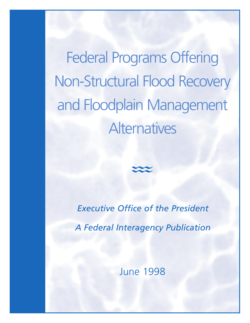Federal Programs Offering Non-Structural Flood Recovery and Floodplain Management **Alternatives** 

> *Executive Office of the President A Federal Interagency Publication*

> > June 1998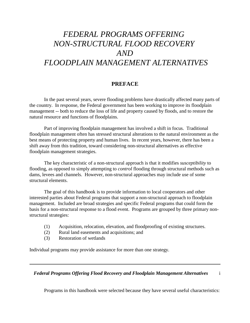# <span id="page-1-0"></span>*FEDERAL PROGRAMS OFFERING NON-STRUCTURAL FLOOD RECOVERY AND FLOODPLAIN MANAGEMENT ALTERNATIVES*

## **PREFACE**

In the past several years, severe flooding problems have drastically affected many parts of the country. In response, the Federal government has been working to improve its floodplain management -- both to reduce the loss of life and property caused by floods, and to restore the natural resource and functions of floodplains.

Part of improving floodplain management has involved a shift in focus. Traditional floodplain management often has stressed structural alterations to the natural environment as the best means of protecting property and human lives. In recent years, however, there has been a shift away from this tradition, toward considering non-structural alternatives as effective floodplain management strategies.

The key characteristic of a non-structural approach is that it modifies *susceptibility* to flooding, as opposed to simply attempting to *control* flooding through structural methods such as dams, levees and channels. However, non-structural approaches may include use of some structural elements.

The goal of this handbook is to provide information to local cooperators and other interested parties about Federal programs that support a non-structural approach to floodplain management. Included are broad strategies and specific Federal programs that could form the basis for a non-structural response to a flood event. Programs are grouped by three primary nonstructural strategies:

- (1) Acquisition, relocation, elevation, and floodproofing of existing structures.
- (2) Rural land easements and acquisitions; and
- (3) Restoration of wetlands

Individual programs may provide assistance for more than one strategy.

*Federal Programs Offering Flood Recovery and Floodplain Management Alternatives* i

Programs in this handbook were selected because they have several useful characteristics: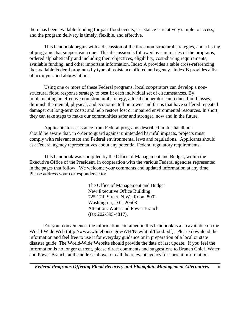there has been available funding for past flood events; assistance is relatively simple to access; and the program delivery is timely, flexible, and effective.

This handbook begins with a discussion of the three non-structural strategies, and a listing of programs that support each one. This discussion is followed by summaries of the programs, ordered alphabetically and including their objectives, eligibility, cost-sharing requirements, available funding, and other important information. Index A provides a table cross-referencing the available Federal programs by type of assistance offered and agency. Index B provides a list of acronyms and abbreviations.

Using one or more of these Federal programs, local cooperators can develop a nonstructural flood response strategy to best fit each individual set of circumstances. By implementing an effective non-structural strategy, a local cooperator can reduce flood losses; diminish the mental, physical, and economic toll on towns and farms that have suffered repeated damage; cut long-term costs; and help restore lost or impaired environmental resources. In short, they can take steps to make our communities safer and stronger, now and in the future.

Applicants for assistance from Federal programs described in this handbook should be aware that, in order to guard against unintended harmful impacts, projects must comply with relevant state and Federal environmental laws and regulations. Applicants should ask Federal agency representatives about any potential Federal regulatory requirements.

This handbook was compiled by the Office of Management and Budget, within the Executive Office of the President, in cooperation with the various Federal agencies represented in the pages that follow. We welcome your comments and updated information at any time. Please address your correspondence to:

> The Office of Management and Budget New Executive Office Building 725 17th Street, N.W., Room 8002 Washington, D.C. 20503 Attention: Water and Power Branch (fax 202-395-4817).

For your convenience, the information contained in this handbook is also available on the World-Wide Web (http://www.whitehouse.gov/WH/New/html/flood.pdf). Please download the information and feel free to use it for everyday guidance or in preparation of a local or state disaster guide. The World-Wide Website should provide the date of last update. If you feel the information is no longer current, please direct comments and suggestions to Branch Chief, Water and Power Branch, at the address above, or call the relevant agency for current information.

*Federal Programs Offering Flood Recovery and Floodplain Management Alternatives* ii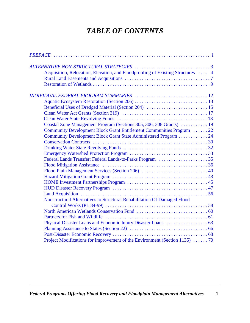## *TABLE OF CONTENTS*

| Acquisition, Relocation, Elevation, and Floodproofing of Existing Structures  4 |  |
|---------------------------------------------------------------------------------|--|
|                                                                                 |  |
|                                                                                 |  |
|                                                                                 |  |
|                                                                                 |  |
|                                                                                 |  |
|                                                                                 |  |
|                                                                                 |  |
| Coastal Zone Management Program (Sections 305, 306, 308 Grants)  19             |  |
| Community Development Block Grant Entitlement Communities Program  22           |  |
| Community Development Block Grant State Administered Program 24                 |  |
|                                                                                 |  |
|                                                                                 |  |
|                                                                                 |  |
|                                                                                 |  |
|                                                                                 |  |
|                                                                                 |  |
|                                                                                 |  |
|                                                                                 |  |
|                                                                                 |  |
|                                                                                 |  |
| Nonstructural Alternatives to Structural Rehabilitation Of Damaged Flood        |  |
|                                                                                 |  |
|                                                                                 |  |
|                                                                                 |  |
|                                                                                 |  |
|                                                                                 |  |
|                                                                                 |  |
| Project Modifications for Improvement of the Environment (Section 1135) 70      |  |
|                                                                                 |  |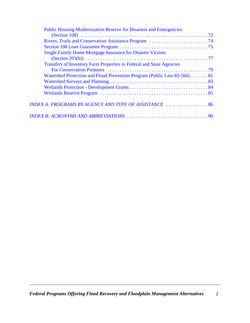| <b>Public Housing Modernization Reserve for Disasters and Emergencies</b> |  |
|---------------------------------------------------------------------------|--|
|                                                                           |  |
|                                                                           |  |
|                                                                           |  |
| <b>Single Family Home Mortgage Insurance for Disaster Victims</b>         |  |
|                                                                           |  |
| Transfers of Inventory Farm Properties to Federal and State Agencies      |  |
|                                                                           |  |
| Watershed Protection and Flood Prevention Program (Public Law 83-566)  81 |  |
|                                                                           |  |
|                                                                           |  |
|                                                                           |  |
| INDEX A: PROGRAMS BY AGENCY AND TYPE OF ASSISTANCE  86                    |  |
|                                                                           |  |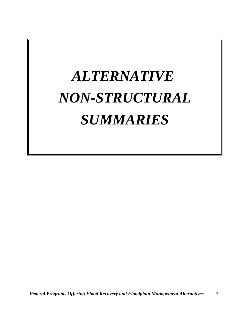# <span id="page-5-0"></span>*ALTERNATIVE NON-STRUCTURAL SUMMARIES*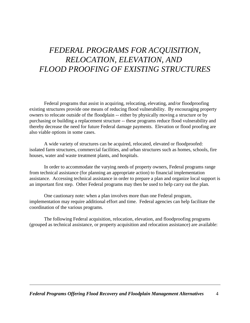# <span id="page-6-0"></span>*FEDERAL PROGRAMS FOR ACQUISITION, RELOCATION, ELEVATION*, *AND FLOOD PROOFING OF EXISTING STRUCTURES*

Federal programs that assist in acquiring, relocating, elevating, and/or floodproofing existing structures provide one means of reducing flood vulnerability. By encouraging property owners to relocate outside of the floodplain -- either by physically moving a structure or by purchasing or building a replacement structure -- these programs reduce flood vulnerability and thereby decrease the need for future Federal damage payments. Elevation or flood proofing are also viable options in some cases.

A wide variety of structures can be acquired, relocated, elevated or floodproofed: isolated farm structures, commercial facilities, and urban structures such as homes, schools, fire houses, water and waste treatment plants, and hospitals.

In order to accommodate the varying needs of property owners, Federal programs range from technical assistance (for planning an appropriate action) to financial implementation assistance. Accessing technical assistance in order to prepare a plan and organize local support is an important first step. Other Federal programs may then be used to help carry out the plan.

One cautionary note: when a plan involves more than one Federal program, implementation may require additional effort and time. Federal agencies can help facilitate the coordination of the various programs.

The following Federal acquisition, relocation, elevation, and floodproofing programs (grouped as technical assistance, or property acquisition and relocation assistance) are available: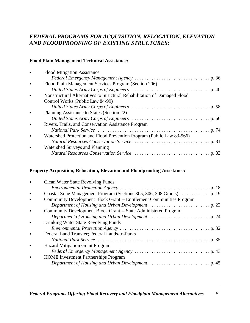### *FEDERAL PROGRAMS FOR ACQUISITION, RELOCATION, ELEVATION AND FLOODPROOFING OF EXISTING STRUCTURES:*

#### **Flood Plain Management Technical Assistance:**

|           | <b>Flood Mitigation Assistance</b>                                       |
|-----------|--------------------------------------------------------------------------|
|           |                                                                          |
| $\bullet$ | Flood Plain Management Services Program (Section 206)                    |
|           |                                                                          |
| $\bullet$ | Nonstructural Alternatives to Structural Rehabilitation of Damaged Flood |
|           | Control Works (Public Law 84-99)                                         |
|           |                                                                          |
| $\bullet$ | Planning Assistance to States (Section 22)                               |
|           |                                                                          |
| $\bullet$ | Rivers, Trails, and Conservation Assistance Program                      |
|           |                                                                          |
| $\bullet$ | Watershed Protection and Flood Prevention Program (Public Law 83-566)    |
|           |                                                                          |
| $\bullet$ | Watershed Surveys and Planning                                           |
|           |                                                                          |
|           |                                                                          |

#### **Property Acquisition, Relocation, Elevation and Floodproofing Assistance:**

| $\bullet$ | <b>Clean Water State Revolving Funds</b>                                    |
|-----------|-----------------------------------------------------------------------------|
|           |                                                                             |
| $\bullet$ | Coastal Zone Management Program (Sections 305, 306, 308 Grants) 19          |
| $\bullet$ | <b>Community Development Block Grant -- Entitlement Communities Program</b> |
|           |                                                                             |
| $\bullet$ | Community Development Block Grant -- State Administered Program             |
|           |                                                                             |
| $\bullet$ | Drinking Water State Revolving Funds                                        |
|           |                                                                             |
| $\bullet$ | Federal Land Transfer; Federal Lands-to-Parks                               |
|           |                                                                             |
| $\bullet$ | <b>Hazard Mitigation Grant Program</b>                                      |
|           |                                                                             |
| $\bullet$ | <b>HOME</b> Investment Partnerships Program                                 |
|           |                                                                             |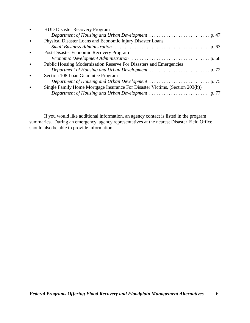| Physical Disaster Loans and Economic Injury Disaster Loans<br>$\bullet$<br>Post-Disaster Economic Recovery Program<br>$\bullet$<br>Public Housing Modernization Reserve For Disasters and Emergencies<br>$\bullet$<br>Section 108 Loan Guarantee Program<br>$\bullet$<br>Single Family Home Mortgage Insurance For Disaster Victims, (Section 203(h))<br>$\bullet$ | $\bullet$ | <b>HUD Disaster Recovery Program</b> |
|--------------------------------------------------------------------------------------------------------------------------------------------------------------------------------------------------------------------------------------------------------------------------------------------------------------------------------------------------------------------|-----------|--------------------------------------|
|                                                                                                                                                                                                                                                                                                                                                                    |           |                                      |
|                                                                                                                                                                                                                                                                                                                                                                    |           |                                      |
|                                                                                                                                                                                                                                                                                                                                                                    |           |                                      |
|                                                                                                                                                                                                                                                                                                                                                                    |           |                                      |
|                                                                                                                                                                                                                                                                                                                                                                    |           |                                      |
|                                                                                                                                                                                                                                                                                                                                                                    |           |                                      |
|                                                                                                                                                                                                                                                                                                                                                                    |           |                                      |
|                                                                                                                                                                                                                                                                                                                                                                    |           |                                      |
|                                                                                                                                                                                                                                                                                                                                                                    |           |                                      |
|                                                                                                                                                                                                                                                                                                                                                                    |           |                                      |
|                                                                                                                                                                                                                                                                                                                                                                    |           |                                      |

If you would like additional information, an agency contact is listed in the program summaries. During an emergency, agency representatives at the nearest Disaster Field Office should also be able to provide information.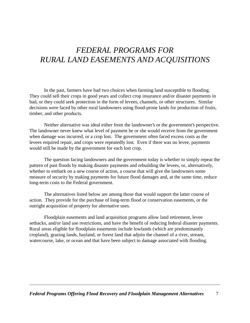# <span id="page-9-0"></span>*FEDERAL PROGRAMS FOR RURAL LAND EASEMENTS AND ACQUISITIONS*

In the past, farmers have had two choices when farming land susceptible to flooding. They could sell their crops in good years and collect crop insurance and/or disaster payments in bad, or they could seek protection in the form of levees, channels, or other structures. Similar decisions were faced by other rural landowners using flood-prone lands for production of fruits, timber, and other products.

Neither alternative was ideal either from the landowner's or the government's perspective. The landowner never knew what level of payment he or she would receive from the government when damage was incurred, or a crop lost. The government often faced excess costs as the levees required repair, and crops were repeatedly lost. Even if there was no levee, payments would still be made by the government for each lost crop.

The question facing landowners and the government today is whether to simply repeat the pattern of past floods by making disaster payments and rebuilding the levees, or, alternatively, whether to embark on a new course of action, a course that will give the landowners some measure of security by making payments for future flood damages and, at the same time, reduce long-term costs to the Federal government.

The alternatives listed below are among those that would support the latter course of action. They provide for the purchase of long-term flood or conservation easements, or the outright acquisition of property for alternative uses.

Floodplain easements and land acquisition programs allow land retirement, levee setbacks, and/or land use restrictions, and have the benefit of reducing federal disaster payments. Rural areas eligible for floodplain easements include lowlands (which are predominantly cropland), grazing lands, hayland, or forest land that adjoin the channel of a river, stream, watercourse, lake, or ocean and that have been subject to damage associated with flooding.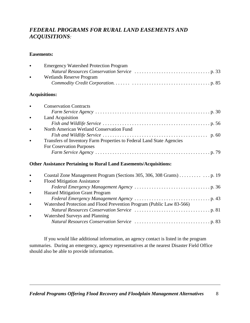## *FEDERAL PROGRAMS FOR RURAL LAND EASEMENTS AND ACQUISITIONS:*

#### **Easements:**

| $\bullet$ | <b>Emergency Watershed Protection Program</b>                            |
|-----------|--------------------------------------------------------------------------|
|           |                                                                          |
| $\bullet$ | <b>Wetlands Reserve Program</b>                                          |
|           |                                                                          |
|           | <b>Acquisitions:</b>                                                     |
| $\bullet$ | <b>Conservation Contracts</b>                                            |
|           |                                                                          |
| $\bullet$ | Land Acquisition                                                         |
|           |                                                                          |
| $\bullet$ | North American Wetland Conservation Fund                                 |
|           |                                                                          |
| $\bullet$ | Transfers of Inventory Farm Properties to Federal Land State Agencies    |
|           | <b>For Coservation Purposes</b>                                          |
|           |                                                                          |
|           | <b>Other Assistance Pertaining to Rural Land Easements/Acquisitions:</b> |
|           |                                                                          |

| $\bullet$ | <b>Flood Mitigation Assistance</b>                                    |
|-----------|-----------------------------------------------------------------------|
|           |                                                                       |
| $\bullet$ | <b>Hazard Mitigation Grant Program</b>                                |
|           |                                                                       |
| $\bullet$ | Watershed Protection and Flood Prevention Program (Public Law 83-566) |
|           |                                                                       |
| $\bullet$ | Watershed Surveys and Planning                                        |
|           |                                                                       |
|           |                                                                       |

If you would like additional information, an agency contact is listed in the program summaries. During an emergency, agency representatives at the nearest Disaster Field Office should also be able to provide information.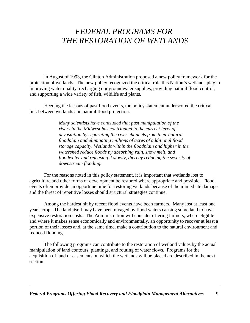## <span id="page-11-0"></span>*FEDERAL PROGRAMS FOR THE RESTORATION OF WETLANDS*

In August of 1993, the Clinton Administration proposed a new policy framework for the protection of wetlands. The new policy recognized the critical role this Nation's wetlands play in improving water quality, recharging our groundwater supplies, providing natural flood control, and supporting a wide variety of fish, wildlife and plants.

Heeding the lessons of past flood events, the policy statement underscored the critical link between wetlands and natural flood protection.

> *Many scientists have concluded that past manipulation of the rivers in the Midwest has contributed to the current level of devastation by separating the river channels from their natural floodplain and eliminating millions of acres of additional flood storage capacity. Wetlands within the floodplain and higher in the watershed reduce floods by absorbing rain, snow melt, and floodwater and releasing it slowly, thereby reducing the severity of downstream flooding.*

For the reasons noted in this policy statement, it is important that wetlands lost to agriculture and other forms of development be restored where appropriate and possible. Flood events often provide an opportune time for restoring wetlands because of the immediate damage and the threat of repetitive losses should structural strategies continue.

Among the hardest hit by recent flood events have been farmers. Many lost at least one year's crop. The land itself may have been ravaged by flood waters causing some land to have expensive restoration costs. The Administration will consider offering farmers, where eligible and where it makes sense economically and environmentally, an opportunity to recover at least a portion of their losses and, at the same time, make a contribution to the natural environment and reduced flooding.

The following programs can contribute to the restoration of wetland values by the actual manipulation of land contours, plantings, and routing of water flows. Programs for the acquisition of land or easements on which the wetlands will be placed are described in the next section.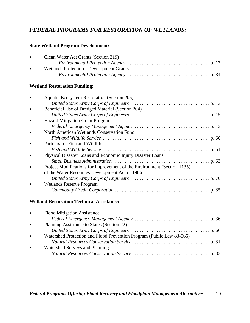## *FEDERAL PROGRAMS FOR RESTORATION OF WETLANDS:*

#### **State Wetland Program Development:**

| $\bullet$ | Clean Water Act Grants (Section 319)            |
|-----------|-------------------------------------------------|
|           |                                                 |
| $\bullet$ | <b>Wetlands Protection - Development Grants</b> |
|           |                                                 |

#### **Wetland Restoration Funding:**

|           | <b>Aquatic Ecosystem Restoration (Section 206)</b>                      |
|-----------|-------------------------------------------------------------------------|
|           |                                                                         |
| $\bullet$ | Beneficial Use of Dredged Material (Section 204)                        |
|           |                                                                         |
| $\bullet$ | <b>Hazard Mitigation Grant Program</b>                                  |
|           |                                                                         |
| $\bullet$ | North American Wetlands Conservation Fund                               |
|           |                                                                         |
| $\bullet$ | Partners for Fish and Wildlife                                          |
|           |                                                                         |
| $\bullet$ | Physical Disaster Loans and Economic Injury Disaster Loans              |
|           |                                                                         |
| $\bullet$ | Project Modifications for Improvement of the Environment (Section 1135) |
|           | of the Water Resources Development Act of 1986                          |
|           |                                                                         |
| $\bullet$ | <b>Wetlands Reserve Program</b>                                         |
|           |                                                                         |

#### **Wetland Restoration Technical Assistance:**

| $\bullet$ | <b>Flood Mitigation Assistance</b>                                    |
|-----------|-----------------------------------------------------------------------|
|           |                                                                       |
| $\bullet$ | Planning Assistance to States (Section 22)                            |
|           |                                                                       |
| $\bullet$ | Watershed Protection and Flood Prevention Program (Public Law 83-566) |
|           |                                                                       |
| $\bullet$ | Watershed Surveys and Planning                                        |
|           |                                                                       |
|           |                                                                       |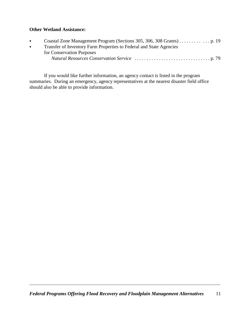#### **Other Wetland Assistance:**

| $\bullet$ |                                                                     |
|-----------|---------------------------------------------------------------------|
| $\bullet$ | Transfer of Inventory Farm Properties to Federal and State Agencies |
|           | for Conservation Purposes                                           |
|           |                                                                     |
|           |                                                                     |

If you would like further information, an agency contact is listed in the program summaries. During an emergency, agency representatives at the nearest disaster field office should also be able to provide information.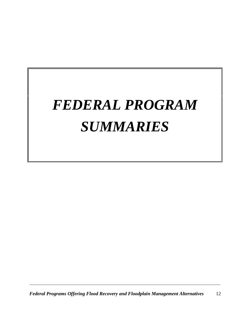# <span id="page-14-0"></span>*FEDERAL PROGRAM SUMMARIES*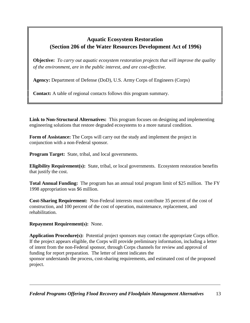## <span id="page-15-0"></span>**Aquatic Ecosystem Restoration (Section 206 of the Water Resources Development Act of 1996)**

**Objective:** *To carry out aquatic ecosystem restoration projects that will improve the quality of the environment, are in the public interest, and are cost-effective.*

**Agency:** Department of Defense (DoD), U.S. Army Corps of Engineers (Corps)

**Contact:** A table of regional contacts follows this program summary.

**Link to Non-Structural Alternatives:** This program focuses on designing and implementing engineering solutions that restore degraded ecosystems to a more natural condition.

**Form of Assistance:** The Corps will carry out the study and implement the project in conjunction with a non-Federal sponsor.

**Program Target:** State, tribal, and local governments.

**Eligibility Requirement(s):** State, tribal, or local governments. Ecosystem restoration benefits that justify the cost.

**Total Annual Funding:** The program has an annual total program limit of \$25 million. The FY 1998 appropriation was \$6 million.

**Cost-Sharing Requirement:** Non-Federal interests must contribute 35 percent of the cost of construction, and 100 percent of the cost of operation, maintenance, replacement, and rehabilitation.

**Repayment Requirement(s):** None.

**Application Procedure(s):** Potential project sponsors may contact the appropriate Corps office. If the project appears eligible, the Corps will provide preliminary information, including a letter of intent from the non-Federal sponsor, through Corps channels for review and approval of funding for report preparation. The letter of intent indicates the sponsor understands the process, cost-sharing requirements, and estimated cost of the proposed project.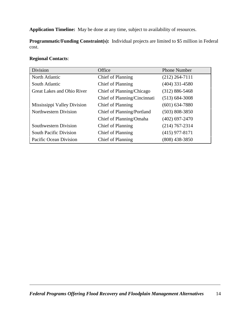**Application Timeline:** May be done at any time, subject to availability of resources.

**Programmatic/Funding Constraint(s):** Individual projects are limited to \$5 million in Federal cost.

#### **Regional Contacts**:

| <b>Division</b>               | Office                       | <b>Phone Number</b> |
|-------------------------------|------------------------------|---------------------|
| North Atlantic                | Chief of Planning            | $(212)$ 264-7111    |
| South Atlantic                | Chief of Planning            | $(404)$ 331-4580    |
| Great Lakes and Ohio River    | Chief of Planning/Chicago    | $(312) 886 - 5468$  |
|                               | Chief of Planning/Cincinnati | $(513) 684 - 3008$  |
| Mississippi Valley Division   | Chief of Planning            | $(601) 634 - 7880$  |
| <b>Northwestern Division</b>  | Chief of Planning/Portland   | $(503) 808 - 3850$  |
|                               | Chief of Planning/Omaha      | $(402)$ 697-2470    |
| Southwestern Division         | Chief of Planning            | $(214) 767 - 2314$  |
| <b>South Pacific Division</b> | Chief of Planning            | $(415)$ 977-8171    |
| Pacific Ocean Division        | Chief of Planning            | $(808)$ 438-3850    |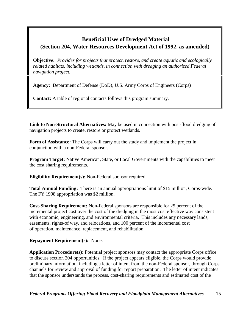## <span id="page-17-0"></span> **Beneficial Uses of Dredged Material (Section 204, Water Resources Development Act of 1992, as amended)**

**Objective:** *Provides for projects that protect, restore, and create aquatic and ecologically related habitats, including wetlands, in connection with dredging an authorized Federal navigation project.*

**Agency:** Department of Defense (DoD), U.S. Army Corps of Engineers (Corps)

**Contact:** A table of regional contacts follows this program summary.

**Link to Non-Structural Alternatives:** May be used in connection with post-flood dredging of navigation projects to create, restore or protect wetlands.

**Form of Assistance:** The Corps will carry out the study and implement the project in conjunction with a non-Federal sponsor.

**Program Target:** Native American, State, or Local Governments with the capabilities to meet the cost sharing requirements.

**Eligibility Requirement(s):** Non-Federal sponsor required.

**Total Annual Funding:** There is an annual appropriations limit of \$15 million, Corps-wide. The FY 1998 appropriation was \$2 million.

**Cost-Sharing Requirement:** Non-Federal sponsors are responsible for 25 percent of the incremental project cost over the cost of the dredging in the most cost effective way consistent with economic, engineering, and environmental criteria. This includes any necessary lands, easements, rights-of way, and relocations, and 100 percent of the incremental cost of operation, maintenance, replacement, and rehabilitation.

### **Repayment Requirement(s):** None.

**Application Procedure(s):** Potential project sponsors may contact the appropriate Corps office to discuss section 204 opportunities. If the project appears eligible, the Corps would provide preliminary information, including a letter of intent from the non-Federal sponsor, through Corps channels for review and approval of funding for report preparation. The letter of intent indicates that the sponsor understands the process, cost-sharing requirements and estimated cost of the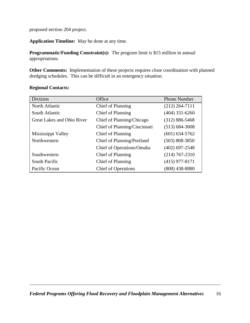proposed section 204 project.

**Application Timeline:** May be done at any time.

**Programmatic/Funding Constraint(s):** The program limit is \$15 million in annual appropriations.

**Other Comments:** Implementation of these projects requires close coordination with planned dredging schedules. This can be difficult in an emergency situation.

| <b>Division</b>            | Office                       | <b>Phone Number</b> |
|----------------------------|------------------------------|---------------------|
| North Atlantic             | Chief of Planning            | $(212)$ 264-7111    |
| South Atlantic             | Chief of Planning            | $(404)$ 331-6260    |
| Great Lakes and Ohio River | Chief of Planning/Chicago    | $(312) 886 - 5468$  |
|                            | Chief of Planning/Cincinnati | $(513) 684 - 3008$  |
| Mississippi Valley         | Chief of Planning            | $(601) 634 - 5762$  |
| Northwestern               | Chief of Planning/Portland   | $(503) 808 - 3850$  |
|                            | Chief of Operations/Omaha    | $(402)$ 697-2548    |
| Southwestern               | Chief of Planning            | $(214) 767 - 2310$  |
| South Pacific              | Chief of Planning            | $(415)$ 977-8171    |
| Pacific Ocean              | <b>Chief of Operations</b>   | $(808)$ 438-8880    |

#### **Regional Contacts:**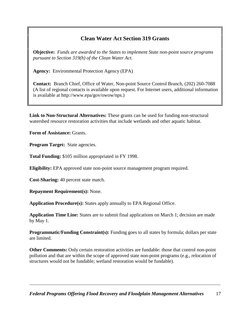## **Clean Water Act Section 319 Grants**

<span id="page-19-0"></span>**Objective:** *Funds are awarded to the States to implement State non-point source programs pursuant to Section 319(h) of the Clean Water Act.*

**Agency:** Environmental Protection Agency (EPA)

**Contact:** Branch Chief, Office of Water, Non-point Source Control Branch, (202) 260-7088 (A list of regional contacts is available upon request. For Internet users, additional information is available at http://www.epa/gov/owow/nps.)

**Link to Non-Structural Alternatives:** These grants can be used for funding non-structural watershed resource restoration activities that include wetlands and other aquatic habitat.

**Form of Assistance:** Grants.

**Program Target:** State agencies.

**Total Funding:** \$105 million appropriated in FY 1998.

**Eligibility:** EPA approved state non-point source management program required.

**Cost-Sharing:** 40 percent state match.

**Repayment Requirement(s):** None.

**Application Procedure(s):** States apply annually to EPA Regional Office.

**Application Time Line:** States are to submit final applications on March 1; decision are made by May 1.

**Programmatic/Funding Constraint(s):** Funding goes to all states by formula; dollars per state are limited.

**Other Comments:** Only certain restoration activities are fundable: those that control non-point pollution and that are within the scope of approved state non-point programs (e.g., relocation of structures would not be fundable; wetland restoration would be fundable).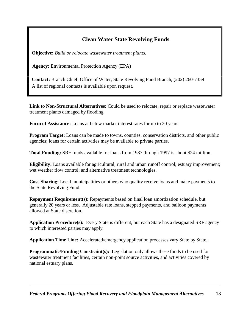## **Clean Water State Revolving Funds**

<span id="page-20-0"></span> **Objective:** *Build or relocate wastewater treatment plants.*

**Agency:** Environmental Protection Agency (EPA)

 **Contact:** Branch Chief, Office of Water, State Revolving Fund Branch, (202) 260-7359 A list of regional contacts is available upon request.

**Link to Non-Structural Alternatives:** Could be used to relocate, repair or replace wastewater treatment plants damaged by flooding.

**Form of Assistance:** Loans at below market interest rates for up to 20 years.

**Program Target:** Loans can be made to towns, counties, conservation districts, and other public agencies; loans for certain activities may be available to private parties.

**Total Funding:** SRF funds available for loans from 1987 through 1997 is about \$24 million.

**Eligibility:** Loans available for agricultural, rural and urban runoff control; estuary improvement; wet weather flow control; and alternative treatment technologies.

**Cost-Sharing:** Local municipalities or others who quality receive loans and make payments to the State Revolving Fund.

**Repayment Requirement(s):** Repayments based on final loan amortization schedule, but generally 20 years or less. Adjustable rate loans, stepped payments, and balloon payments allowed at State discretion.

**Application Procedure(s):** Every State is different, but each State has a designated SRF agency to which interested parties may apply.

Application Time Line: Accelerated/emergency application processes vary State by State.

**Programmatic/Funding Constraint(s):** Legislation only allows these funds to be used for wastewater treatment facilities, certain non-point source activities, and activities covered by national estuary plans.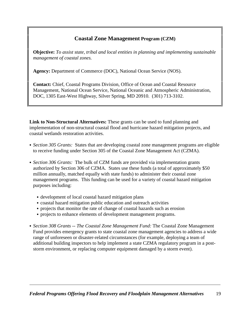## **Coastal Zone Management Program (CZM)**

<span id="page-21-0"></span>**Objective:** *To assist state, tribal and local entities in planning and implementing sustainable management of coastal zones.*

**Agency:** Department of Commerce (DOC), National Ocean Service (NOS).

**Contact:** Chief, Coastal Programs Division, Office of Ocean and Coastal Resource Management, National Ocean Service, National Oceanic and Atmospheric Administration, DOC, 1305 East-West Highway, Silver Spring, MD 20910. (301) 713-3102.

**Link to Non-Structural Alternatives:** These grants can be used to fund planning and implementation of non-structural coastal flood and hurricane hazard mitigation projects, and coastal wetlands restoration activities.

- Section 305 Grants: States that are developing coastal zone management programs are eligible to receive funding under Section 305 of the Coastal Zone Management Act (CZMA).
- *Section 306 Grants:* The bulk of CZM funds are provided via implementation grants authorized by Section 306 of CZMA. States use these funds (a total of approximately \$50 million annually, matched equally with state funds) to administer their coastal zone management programs. This funding can be used for a variety of coastal hazard mitigation purposes including:
	- development of local coastal hazard mitigation plans
	- coastal hazard mitigation public education and outreach activities
	- projects that monitor the rate of change of coastal hazards such as erosion
	- projects to enhance elements of development management programs.
- Section 308 Grants -- The Coastal Zone Management Fund: The Coastal Zone Management Fund provides emergency grants to state coastal zone management agencies to address a wide range of unforeseen or disaster-related circumstances (for example, deploying a team of additional building inspectors to help implement a state CZMA regulatory program in a poststorm environment, or replacing computer equipment damaged by a storm event).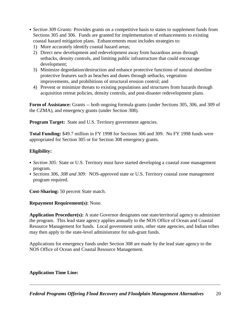- Section 309 Grants: Provides grants on a competitive basis to states to supplement funds from Sections 305 and 306. Funds are granted for implementation of enhancements to existing coastal hazard mitigation plans. Enhancements must includes strategies to:
	- 1) More accurately identify coastal hazard areas;
	- 2) Direct new development and redevelopment away from hazardous areas through setbacks, density controls, and limiting public infrastructure that could encourage development;
	- 3) Minimize degredation/destruction and enhance protective functions of natural shoreline protective features such as beaches and dunes through setbacks, vegetation improvements, and prohibitions of structural erosion control; and
	- 4) Prevent or minimize threats to existing populations and structures from hazards through acquisition retreat policies, density controls, and post-disaster redevelopment plans.

**Form of Assistance:** Grants -- both ongoing formula grants (under Sections 305, 306, and 309 of the CZMA), and emergency grants (under Section 308).

**Program Target:** State and U.S. Territory government agencies.

**Total Funding:** \$49.7 million in FY 1998 for Sections 306 and 309. No FY 1998 funds were appropriated for Section 305 or for Section 308 emergency grants.

#### **Eligibility:**

- Section 305: State or U.S. Territory must have started developing a coastal zone management program.
- Sections 306, 308 and 309: NOS-approved state or U.S. Territory coastal zone management program required.

**Cost-Sharing:** 50 percent State match.

#### **Repayment Requirement(s):** None.

**Application Procedure(s):** A state Governor designates one state/territorial agency to administer the program. This lead state agency applies annually to the NOS Office of Ocean and Coastal Resource Management for funds. Local government units, other state agencies, and Indian tribes may then apply to the state-level administrator for sub-grant funds.

Applications for emergency funds under Section 308 are made by the lead state agency to the NOS Office of Ocean and Coastal Resource Management.

#### **Application Time Line:**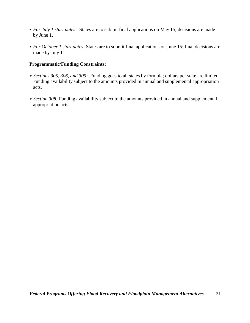- For July 1 start dates: States are to submit final applications on May 15; decisions are made by June 1.
- For October 1 start dates: States are to submit final applications on June 15; final decisions are made by July 1.

#### **Programmatic/Funding Constraints:**

- Sections 305, 306, and 309: Funding goes to all states by formula; dollars per state are limited. Funding availability subject to the amounts provided in annual and supplemental appropriation acts.
- Section 308: Funding availability subject to the amounts provided in annual and supplemental appropriation acts.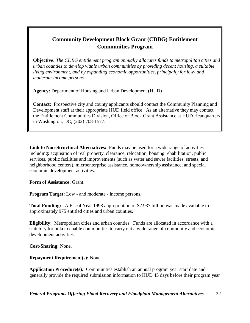## <span id="page-24-0"></span>**Community Development Block Grant (CDBG) Entitlement Communities Program**

**Objective:** *The CDBG entitlement program annually allocates funds to metropolitan cities and urban counties to develop viable urban communities by providing decent housing, a suitable living environment, and by expanding economic opportunities, principally for low- and moderate-income persons.*

**Agency:** Department of Housing and Urban Development (HUD)

**Contact:** Prospective city and county applicants should contact the Community Planning and Development staff at their appropriate HUD field office. As an alternative they may contact the Entitlement Communities Division, Office of Block Grant Assistance at HUD Headquarters in Washington, DC; (202) 708-1577.

**Link to Non-Structural Alternatives:** Funds may be used for a wide range of activities including: acquisition of real property, clearance, relocation, housing rehabilitation, public services, public facilities and improvements (such as water and sewer facilities, streets, and neighborhood centers), microenterprise assistance, homeownership assistance, and special economic development activities.

**Form of Assistance:** Grant.

**Program Target:** Low - and moderate - income persons.

**Total Funding:** A Fiscal Year 1998 appropriation of \$2.937 billion was made available to approximately 975 entitled cities and urban counties.

**Eligibility:** Metropolitan cities and urban counties. Funds are allocated in accordance with a statutory formula to enable communities to carry out a wide range of community and economic development activities.

**Cost-Sharing:** None.

**Repayment Requirement(s):** None.

**Application Procedure(s):** Communities establish an annual program year start date and generally provide the required submission information to HUD 45 days before their program year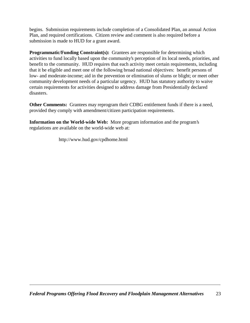begins. Submission requirements include completion of a Consolidated Plan, an annual Action Plan, and required certifications. Citizen review and comment is also required before a submission is made to HUD for a grant award.

**Programmatic/Funding Constraint(s):** Grantees are responsible for determining which activities to fund locally based upon the community's perception of its local needs, priorities, and benefit to the community. HUD requires that each activity meet certain requirements, including that it be eligible and meet one of the following broad national objectives: benefit persons of low- and moderate-income; aid in the prevention or elimination of slums or blight; or meet other community development needs of a particular urgency. HUD has statutory authority to waive certain requirements for activities designed to address damage from Presidentially declared disasters.

**Other Comments:** Grantees may reprogram their CDBG entitlement funds if there is a need, provided they comply with amendment/citizen participation requirements.

**Information on the World-wide Web:** More program information and the program's regulations are available on the world-wide web at:

http://www.hud.gov/cpdhome.html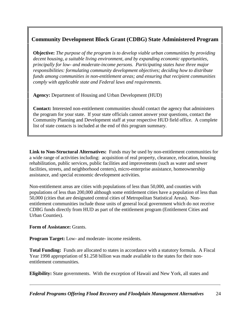## <span id="page-26-0"></span>**Community Development Block Grant (CDBG) State Administered Program**

**Objective:** *The purpose of the program is to develop viable urban communities by providing decent housing, a suitable living environment, and by expanding economic opportunities, principally for low- and moderate-income persons. Participating states have three major responsibilities: formulating community development objectives; deciding how to distribute funds among communities in non-entitlement areas; and ensuring that recipient communities comply with applicable state and Federal laws and requirements.*

**Agency:** Department of Housing and Urban Development (HUD)

**Contact:** Interested non-entitlement communities should contact the agency that administers the program for your state. If your state officials cannot answer your questions, contact the Community Planning and Development staff at your respective HUD field office. A complete list of state contacts is included at the end of this program summary.

**Link to Non-Structural Alternatives:** Funds may be used by non-entitlement communities for a wide range of activities including: acquisition of real property, clearance, relocation, housing rehabilitation, public services, public facilities and improvements (such as water and sewer facilities, streets, and neighborhood centers), micro-enterprise assistance, homeownership assistance, and special economic development activities.

Non-entitlement areas are cities with populations of less than 50,000, and counties with populations of less than 200,000 although some entitlement cities have a population of less than 50,000 (cities that are designated central cities of Metropolitan Statistical Areas). Nonentitlement communities include those units of general local government which do not receive CDBG funds directly from HUD as part of the entitlement program (Entitlement Cities and Urban Counties).

**Form of Assistance:** Grants.

**Program Target:** Low- and moderate- income residents.

**Total Funding:** Funds are allocated to states in accordance with a statutory formula. A Fiscal Year 1998 appropriation of \$1.258 billion was made available to the states for their nonentitlement communities.

**Eligibility:** State governments. With the exception of Hawaii and New York, all states and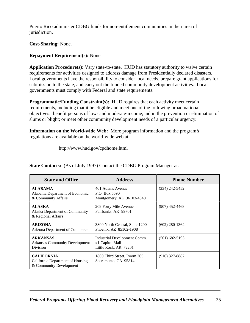Puerto Rico administer CDBG funds for non-entitlement communities in their area of jurisdiction.

**Cost-Sharing:** None.

#### **Repayment Requirement(s):** None

**Application Procedure(s):** Vary state-to-state. HUD has statutory authority to waive certain requirements for activities designed to address damage from Presidentially declared disasters. Local governments have the responsibility to consider local needs, prepare grant applications for submission to the state, and carry out the funded community development activities. Local governments must comply with Federal and state requirements.

**Programmatic/Funding Constraint(s):** HUD requires that each activity meet certain requirements, including that it be eligible and meet one of the following broad national objectives: benefit persons of low- and moderate-income; aid in the prevention or elimination of slums or blight; or meet other community development needs of a particular urgency.

**Information on the World-wide Web:** More program information and the program's regulations are available on the world-wide web at:

http://www.hud.gov/cpdhome.html

| <b>State and Office</b>                                                          | <b>Address</b>                                                           | <b>Phone Number</b> |
|----------------------------------------------------------------------------------|--------------------------------------------------------------------------|---------------------|
| <b>ALABAMA</b><br>Alabama Department of Economic<br>& Community Affairs          | 401 Adams Avenue<br>P.O. Box 5690<br>Montgomery, AL 36103-4340           | $(334)$ 242-5452    |
| <b>ALASKA</b><br>Alaska Department of Community<br>& Regional Affairs            | 209 Forty Mile Avenue<br>Fairbanks, AK 99701                             | $(907)$ 452-4468    |
| <b>ARIZONA</b><br>Arizona Department of Commerce                                 | 3800 North Central, Suite 1200<br>Phoenix, AZ 85102-1908                 | $(602)$ 280-1364    |
| <b>ARKANSAS</b><br><b>Arkansas Community Development</b><br>Division             | Industrial Development Comm.<br>#1 Capitol Mall<br>Little Rock, AR 72201 | $(501)$ 682-5193    |
| <b>CALIFORNIA</b><br>California Department of Housing<br>& Community Development | 1800 Third Street, Room 365<br>Sacramento, CA 95814                      | $(916)$ 327-8887    |

**State Contacts:** (As of July 1997) Contact the CDBG Program Manager at: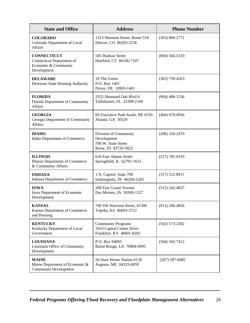| <b>State and Office</b>                                                                | <b>Address</b>                                                                      | <b>Phone Number</b> |
|----------------------------------------------------------------------------------------|-------------------------------------------------------------------------------------|---------------------|
| <b>COLORADO</b><br>Colorado Department of Local<br><b>Affairs</b>                      | 1313 Sherman Street, Room 518<br>Denver, CO 80203-2236                              | $(303) 866 - 2771$  |
| <b>CONNECTICUT</b><br>Connecticut Department of<br>Economic & Community<br>Development | 505 Hudson Street<br>Hartford, CT 06106-7107                                        | $(860) 566 - 5310$  |
| <b>DELAWARE</b><br>Delaware State Housing Authority                                    | 18 The Green<br>P.O. Box 1401<br>Dover, DE 19903-1401                               | $(302)$ 739-4263    |
| <b>FLORIDA</b><br>Florida Department of Community<br><b>Affairs</b>                    | 2555 Shumand Oak Blvd.0<br>Tallahassee, FL 32399-2100                               | $(904)$ 488-1536    |
| <b>GEORGIA</b><br>Georgia Department of Community<br><b>Affairs</b>                    | 60 Executive Park South, NE #250<br>Atlanta, GA 30329                               | $(404)$ 679-4956    |
| <b>IDAHO</b><br>Idaho Department of Commerce                                           | Division of Community<br>Development<br>700 W. State Street<br>Boise, ID 83720-5822 | $(208)$ 334-2470    |
| <b>ILLINOIS</b><br>Illinois Department of Commerce<br>& Community Affairs              | 620 East Adams Street<br>Springfield, IL 62701-1615                                 | $(217)$ 785-6193    |
| <b>INDIANA</b><br>Indiana Department of Commerce                                       | 1 N. Capitol, Suite 700<br>Indianapolis, IN 46204-2243                              | $(317)$ 232-8911    |
| <b>IOWA</b><br>Iowa Department of Economic<br>Development                              | 200 East Grand Avenue<br>Des Moines, IA 50309-1527                                  | $(515)$ 242-4837    |
| <b>KANSAS</b><br>Kansas Department of Commerce<br>and Housing                          | 700 SW Harrison Street, #1300<br>Topeka, KS 66603-3712                              | $(913)$ 296-4856    |
| <b>KENTUCKY</b><br>Kentucky Department of Local<br>Government                          | <b>Community Programs</b><br>1024 Capital Center Drive<br>Frankfort, KY 40601-8202  | $(502) 573 - 2382$  |
| <b>LOUISIANA</b><br>Louisiana Office of Community<br>Development                       | P.O. Box 94095<br>Baton Rouge, LA 70804-9095                                        | $(504)$ 342-7412    |
| <b>MAINE</b><br>Maine Department of Economic &<br><b>Community Development</b>         | 50 State House Station #130<br>Augusta, ME 04333-0059                               | $(207)$ 287-8485    |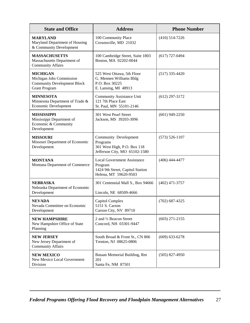| <b>State and Office</b>                                                                                   | <b>Address</b>                                                                                             | <b>Phone Number</b> |
|-----------------------------------------------------------------------------------------------------------|------------------------------------------------------------------------------------------------------------|---------------------|
| <b>MARYLAND</b><br>Maryland Department of Housing<br>& Community Development                              | 100 Community Place<br>Crownsville, MD 21032                                                               | $(410)$ 514-7226    |
| <b>MASSACHUSETTS</b><br>Massachusetts Department of<br><b>Community Affairs</b>                           | 100 Cambridge Street, Suite 1803<br>Boston, MA 02202-0044                                                  | $(617)$ 727-0494    |
| <b>MICHIGAN</b><br>Michigan Jobs Commission<br><b>Community Development Block</b><br><b>Grant Program</b> | 525 West Ottawa, 5th Floor<br>G. Mennen Williams Bldg<br>P.O. Box 30225<br>E. Lansing, MI 48913            | $(517)$ 335-4420    |
| <b>MINNESOTA</b><br>Minnesota Department of Trade &<br>Economic Development                               | <b>Community Assistance Unit</b><br>121 7th Place East<br>St. Paul, MN 55101-2146                          | $(612)$ 297-3172    |
| <b>MISSISSIPPI</b><br>Mississippi Department of<br>Economic & Community<br>Development                    | 301 West Pearl Street<br>Jackson, MS 39203-3096                                                            | $(601)$ 949-2250    |
| <b>MISSOURI</b><br>Missouri Department of Economic<br>Development                                         | Community Development<br>Programs<br>301 West High, P.O. Box 118<br>Jefferson City, MO 65102-1580          | $(573) 526 - 1107$  |
| <b>MONTANA</b><br>Montana Department of Commerce                                                          | <b>Local Government Assistance</b><br>Program<br>1424 9th Street, Capitol Station<br>Helena, MT 59620-9503 | $(406)$ 444-4477    |
| <b>NEBRASKA</b><br>Nebraska Department of Economic<br>Development                                         | 301 Centennial Mall S., Box 94666<br>Lincoln, NE 68509-4666                                                | $(402)$ 471-3757    |
| <b>NEVADA</b><br>Nevada Committee on Economic<br>Development                                              | Capitol Complex<br>5151 S. Carson<br>Carson City, NV 89710                                                 | $(702)$ 687-4325    |
| <b>NEW HAMPSHIRE</b><br>New Hampshire Office of State<br>Planning                                         | 2 and 1/2 Beacon Street<br>Concord, NH 03301-9447                                                          | $(603)$ 271-2155    |
| <b>NEW JERSEY</b><br>New Jersey Department of<br><b>Community Affairs</b>                                 | South Broad & Front St., CN 806<br>Trenton, NJ 08625-0806                                                  | $(609)$ 633-6278    |
| <b>NEW MEXICO</b><br>New Mexico Local Government<br>Division                                              | Bataan Memorial Building, Rm<br>201<br>Santa Fe, NM 87501                                                  | $(505)$ 827-4950    |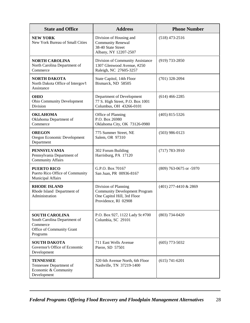| <b>State and Office</b>                                                                                    | <b>Address</b>                                                                                                      | <b>Phone Number</b>     |
|------------------------------------------------------------------------------------------------------------|---------------------------------------------------------------------------------------------------------------------|-------------------------|
| <b>NEW YORK</b><br>New York Bureau of Small Cities                                                         | Division of Housing and<br><b>Community Renewal</b><br>38-40 State Street<br>Albany, NY 12207-2507                  | $(518)$ 473-2516        |
| <b>NORTH CAROLINA</b><br>North Carolina Department of<br>Commerce                                          | Division of Community Assistance<br>1307 Glenwood Avenue, #250<br>Raleigh, NC 27605-3257                            | $(919) 733 - 2850$      |
| <b>NORTH DAKOTA</b><br>North Dakota Office of Intergov't<br>Assistance                                     | State Capitol, 14th Floor<br>Bismarck, ND 58505                                                                     | $(701)$ 328-2094        |
| <b>OHIO</b><br>Ohio Community Development<br>Division                                                      | Department of Development<br>77 S. High Street, P.O. Box 1001<br>Columbus, OH 43266-0101                            | $(614)$ 466-2285        |
| <b>OKLAHOMA</b><br>Oklahoma Department of<br>Commerce                                                      | Office of Planning<br>P.O. Box 26980<br>Oklahoma City, OK 73126-0980                                                | $(405)$ 815-5326        |
| <b>OREGON</b><br>Oregon Economic Development<br>Department                                                 | 775 Summer Street, NE<br>Salem, OR 97310                                                                            | $(503)$ 986-0123        |
| <b>PENNSYLVANIA</b><br>Pennsylvania Department of<br><b>Community Affairs</b>                              | 302 Forum Building<br>Harrisburg, PA 17120                                                                          | $(717) 783 - 3910$      |
| <b>PUERTO RICO</b><br>Puerto Rico Office of Community<br><b>Municipal Affairs</b>                          | G.P.O. Box 70167<br>San Juan, PR 00936-8167                                                                         | (809) 763-0675 or -5970 |
| <b>RHODE ISLAND</b><br>Rhode Island Department of<br>Administration                                        | Division of Planning<br><b>Community Development Program</b><br>One Capitol Hill, 3rd Floor<br>Providence, RI 02908 | (401) 277-4410 & 2869   |
| <b>SOUTH CAROLINA</b><br>South Carolina Department of<br>Commerce<br>Office of Community Grant<br>Programs | P.O. Box 927, 1122 Lady St #700<br>Columbia, SC 29101                                                               | $(803) 734 - 0420$      |
| <b>SOUTH DAKOTA</b><br>Governor's Office of Economic<br>Development                                        | 711 East Wells Avenue<br>Pierre, SD 57501                                                                           | $(605)$ 773-5032        |
| <b>TENNESSEE</b><br>Tennessee Department of<br>Economic & Community<br>Development                         | 320 6th Avenue North, 6th Floor<br>Nashville, TN 37219-1400                                                         | $(615) 741 - 6201$      |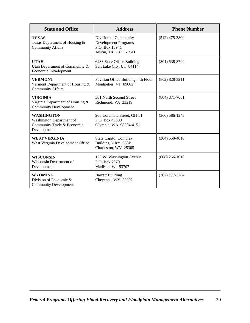| <b>State and Office</b>                                                                    | <b>Address</b>                                                                                  | <b>Phone Number</b> |
|--------------------------------------------------------------------------------------------|-------------------------------------------------------------------------------------------------|---------------------|
| <b>TEXAS</b><br>Texas Department of Housing &<br><b>Community Affairs</b>                  | Division of Community<br><b>Development Programs</b><br>P.O. Box 13941<br>Austin, TX 78711-3941 | $(512)$ 475-3800    |
| <b>UTAH</b><br>Utah Department of Community &<br>Economic Development                      | 6233 State Office Building<br>Salt Lake City, UT 84114                                          | $(801)$ 538-8700    |
| <b>VERMONT</b><br>Vermont Department of Housing &<br><b>Community Affairs</b>              | Pavilion Office Building, 4th Floor<br>Montpelier, VT 05602                                     | $(802)$ 828-3211    |
| <b>VIRGINIA</b><br>Virginia Department of Housing &<br><b>Community Development</b>        | 501 North Second Street<br>Richmond, VA 23219                                                   | $(804)$ 371-7061    |
| <b>WASHINGTON</b><br>Washington Department of<br>Community Trade & Economic<br>Development | 906 Columbia Street, GH-51<br>P.O. Box 48300<br>Olympia, WA 98504-4151                          | $(360)$ 586-1243    |
| <b>WEST VIRGINIA</b><br>West Virginia Development Office                                   | <b>State Capitol Complex</b><br>Building 6, Rm. 553B<br>Charleston, WV 25305                    | $(304) 558 - 4010$  |
| <b>WISCONSIN</b><br>Wisconsin Department of<br>Development                                 | 123 W. Washington Avenue<br>P.O. Box 7970<br>Madison, WI 53707                                  | $(608)$ 266-1018    |
| <b>WYOMING</b><br>Division of Economic $\&$<br><b>Community Development</b>                | <b>Barrett Building</b><br>Cheyenne, WY 82002                                                   | $(307)$ 777-7284    |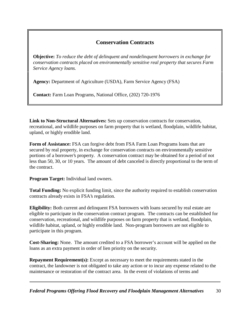## **Conservation Contracts**

<span id="page-32-0"></span>**Objective:** *To reduce the debt of delinquent and nondelinquent borrowers in exchange for conservation contracts placed on environmentally sensitive real property that secures Farm Service Agency loans.*

**Agency:** Department of Agriculture (USDA), Farm Service Agency (FSA)

**Contact:** Farm Loan Programs, National Office, (202) 720-1976

**Link to Non-Structural Alternatives:** Sets up conservation contracts for conservation, recreational, and wildlife purposes on farm property that is wetland, floodplain, wildlife habitat, upland, or highly erodible land.

**Form of Assistance:** FSA can forgive debt from FSA Farm Loan Programs loans that are secured by real property, in exchange for conservation contracts on environmentally sensitive portions of a borrower's property. A conservation contract may be obtained for a period of not less than 50, 30, or 10 years. The amount of debt canceled is directly proportional to the term of the contract.

**Program Target:** Individual land owners.

**Total Funding:** No explicit funding limit, since the authority required to establish conservation contracts already exists in FSA's regulation.

**Eligibility:** Both current and delinquent FSA borrowers with loans secured by real estate are eligible to participate in the conservation contract program. The contracts can be established for conservation, recreational, and wildlife purposes on farm property that is wetland, floodplain, wildlife habitat, upland, or highly erodible land. Non-program borrowers are not eligible to participate in this program.

**Cost-Sharing:** None. The amount credited to a FSA borrower's account will be applied on the loans as an extra payment in order of lien priority on the security.

**Repayment Requirement(s):** Except as necessary to meet the requirements stated in the contract, the landowner is not obligated to take any action or to incur any expense related to the maintenance or restoration of the contract area. In the event of violations of terms and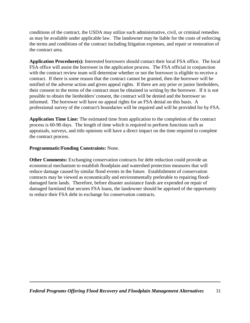conditions of the contract, the USDA may utilize such administrative, civil, or criminal remedies as may be available under applicable law. The landowner may be liable for the costs of enforcing the terms and conditions of the contract including litigation expenses, and repair or restoration of the contract area.

**Application Procedure(s):** Interested borrowers should contact their local FSA office. The local FSA office will assist the borrower in the application process. The FSA official in conjunction with the contract review team will determine whether or not the borrower is eligible to receive a contract. If there is some reason that the contract cannot be granted, then the borrower will be notified of the adverse action and given appeal rights. If there are any prior or junior lienholders, their consent to the terms of the contract must be obtained in writing by the borrower. If it is not possible to obtain the lienholders' consent, the contract will be denied and the borrower so informed. The borrower will have no appeal rights for an FSA denial on this basis. A professional survey of the contract's boundaries will be required and will be provided for by FSA.

**Application Time Line:** The estimated time from application to the completion of the contract process is 60-90 days. The length of time which is required to perform functions such as appraisals, surveys, and title opinions will have a direct impact on the time required to complete the contract process.

#### **Programmatic/Funding Constraints:** None.

**Other Comments:** Exchanging conservation contracts for debt reduction could provide an economical mechanism to establish floodplain and watershed protection measures that will reduce damage caused by similar flood events in the future. Establishment of conservation contracts may be viewed as economically and environmentally preferable to repairing flooddamaged farm lands. Therefore, before disaster assistance funds are expended on repair of damaged farmland that secures FSA loans, the landowner should be apprised of the opportunity to reduce their FSA debt in exchange for conservation contracts.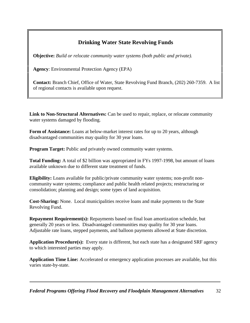## **Drinking Water State Revolving Funds**

<span id="page-34-0"></span>**Objective:** *Build or relocate community water systems (both public and private).*

**Agency**: Environmental Protection Agency (EPA)

**Contact:** Branch Chief, Office of Water, State Revolving Fund Branch, (202) 260-7359. A list of regional contacts is available upon request.

**Link to Non-Structural Alternatives:** Can be used to repair, replace, or relocate community water systems damaged by flooding.

**Form of Assistance:** Loans at below-market interest rates for up to 20 years, although disadvantaged communities may quality for 30 year loans.

**Program Target:** Public and privately owned community water systems.

**Total Funding:** A total of \$2 billion was appropriated in FYs 1997-1998, but amount of loans available unknown due to different state treatment of funds.

**Eligibility:** Loans available for public/private community water systems; non-profit noncommunity water systems; compliance and public health related projects; restructuring or consolidation; planning and design; some types of land acquisition.

**Cost-Sharing:** None. Local municipalities receive loans and make payments to the State Revolving Fund.

**Repayment Requirement(s):** Repayments based on final loan amortization schedule, but generally 20 years or less. Disadvantaged communities may quality for 30 year loans. Adjustable rate loans, stepped payments, and balloon payments allowed at State discretion.

**Application Procedure(s):** Every state is different, but each state has a designated SRF agency to which interested parties may apply.

**Application Time Line:** Accelerated or emergency application processes are available, but this varies state-by-state.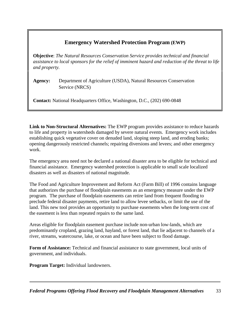## **Emergency Watershed Protection Program (EWP)**

<span id="page-35-0"></span>**Objective**: *The Natural Resources Conservation Service provides technical and financial assistance to local sponsors for the relief of imminent hazard and reduction of the threat to life and property.*

**Agency:** Department of Agriculture (USDA), Natural Resources Conservation Service (NRCS)

**Contact:** National Headquarters Office, Washington, D.C., (202) 690-0848

**Link to Non-Structural Alternatives:** The EWP program provides assistance to reduce hazards to life and property in watersheds damaged by severe natural events. Emergency work includes establishing quick vegetative cover on denuded land, sloping steep land, and eroding banks; opening dangerously restricted channels; repairing diversions and levees; and other emergency work.

The emergency area need not be declared a national disaster area to be eligible for technical and financial assistance. Emergency watershed protection is applicable to small scale localized disasters as well as disasters of national magnitude.

The Food and Agriculture Improvement and Reform Act (Farm Bill) of 1996 contains language that authorizes the purchase of floodplain easements as an emergency measure under the EWP program. The purchase of floodplain easements can retire land from frequent flooding to preclude federal disaster payments, retire land to allow levee setbacks, or limit the use of the land. This new tool provides an opportunity to purchase easements when the long-term cost of the easement is less than repeated repairs to the same land.

Areas eligible for floodplain easement purchase include non-urban low-lands, which are predominantly cropland, grazing land, hayland, or forest land, that lie adjacent to channels of a river, streams, watercourse, lake, or ocean and have been subject to flood damage.

**Form of Assistance:** Technical and financial assistance to state government, local units of government, and individuals.

**Program Target:** Individual landowners.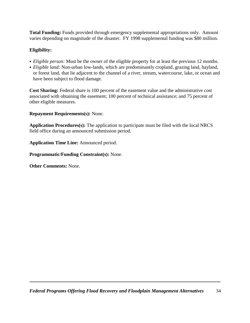**Total Funding:** Funds provided through emergency supplemental appropriations only. Amount varies depending on magnitude of the disaster. FY 1998 supplemental funding was \$80 million.

#### **Eligibility:**

- *Eligible person:* Must be the owner of the eligible property for at least the previous 12 months.
- *Eligible land:* Non-urban low-lands, which are predominantly cropland, grazing land, hayland, or forest land, that lie adjacent to the channel of a river, stream, watercourse, lake, or ocean and have been subject to flood damage.

**Cost Sharing:** Federal share is 100 percent of the easement value and the administrative cost associated with obtaining the easement; 100 percent of technical assistance; and 75 percent of other eligible measures.

#### **Repayment Requirements(s):** None.

**Application Procedures(s):** The application to participate must be filed with the local NRCS field office during an announced submission period.

**Application Time Line:** Announced period.

**Programmatic/Funding Constraint(s):** None.

**Other Comments:** None.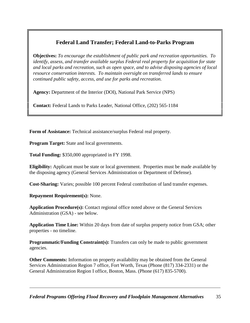### **Federal Land Transfer; Federal Land-to-Parks Program**

**Objectives:** *To encourage the establishment of public park and recreation opportunities. To identify, assess, and transfer available surplus Federal real property for acquisition for state and local parks and recreation, such as open space, and to advise disposing agencies of local resource conservation interests. To maintain oversight on transferred lands to ensure continued public safety, access, and use for parks and recreation.*

**Agency:** Department of the Interior (DOI), National Park Service (NPS)

**Contact:** Federal Lands to Parks Leader, National Office, (202) 565-1184

**Form of Assistance:** Technical assistance/surplus Federal real property.

**Program Target:** State and local governments.

**Total Funding:** \$350,000 appropriated in FY 1998.

**Eligibility:** Applicant must be state or local government. Properties must be made available by the disposing agency (General Services Administration or Department of Defense).

**Cost-Sharing:** Varies; possible 100 percent Federal contribution of land transfer expenses.

**Repayment Requirement(s):** None.

**Application Procedure(s):** Contact regional office noted above or the General Services Administration (GSA) - see below.

**Application Time Line:** Within 20 days from date of surplus property notice from GSA; other properties - no timeline.

**Programmatic/Funding Constraint(s):** Transfers can only be made to public government agencies.

**Other Comments:** Information on property availability may be obtained from the General Services Administration Region 7 office, Fort Worth, Texas (Phone (817) 334-2331) or the General Administration Region I office, Boston, Mass. (Phone (617) 835-5700).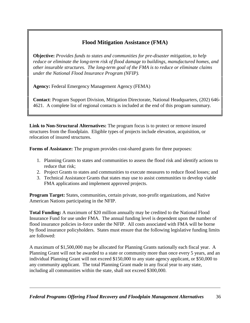# **Flood Mitigation Assistance (FMA)**

**Objective:** *Provides funds to states and communities for pre-disaster mitigation, to help reduce or eliminate the long-term risk of flood damage to buildings, manufactured homes, and other insurable structures. The long-term goal of the FMA is to reduce or eliminate claims under the National Flood Insurance Program (NFIP).*

**Agency:** Federal Emergency Management Agency (FEMA)

**Contact**: Program Support Division, Mitigation Directorate, National Headquarters, (202) 646- 4621. A complete list of regional contacts is included at the end of this program summary.

**Link to Non-Structural Alternatives:** The program focus is to protect or remove insured structures from the floodplain. Eligible types of projects include elevation, acquisition, or relocation of insured structures.

**Forms of Assistance:** The program provides cost-shared grants for three purposes:

- 1. Planning Grants to states and communities to assess the flood risk and identify actions to reduce that risk;
- 2. Project Grants to states and communities to execute measures to reduce flood losses; and
- 3. Technical Assistance Grants that states may use to assist communities to develop viable FMA applications and implement approved projects.

**Program Target:** States, communities, certain private, non-profit organizations, and Native American Nations participating in the NFIP.

**Total Funding:** A maximum of \$20 million annually may be credited to the National Flood Insurance Fund for use under FMA. The annual funding level is dependent upon the number of flood insurance policies in-force under the NFIP. All costs associated with FMA will be borne by flood insurance policyholders. States must ensure that the following legislative funding limits are followed:

A maximum of \$1,500,000 may be allocated for Planning Grants nationally each fiscal year. A Planning Grant will not be awarded to a state or community more than once every 5 years, and an individual Planning Grant will not exceed \$150,000 to any state agency applicant, or \$50,000 to any community applicant. The total Planning Grant made in any fiscal year to any state, including all communities within the state, shall not exceed \$300,000.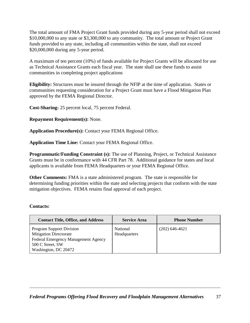The total amount of FMA Project Grant funds provided during any 5-year period shall not exceed \$10,000,000 to any state or \$3,300,000 to any community. The total amount or Project Grant funds provided to any state, including all communities within the state, shall not exceed \$20,000,000 during any 5-year period.

A maximum of ten percent (10%) of funds available for Project Grants will be allocated for use as Technical Assistance Grants each fiscal year. The state shall use these funds to assist communities in completing project applications

**Eligibility:** Structures must be insured through the NFIP at the time of application. States or communities requesting consideration for a Project Grant must have a Flood Mitigation Plan approved by the FEMA Regional Director.

**Cost-Sharing:** 25 percent local, 75 percent Federal.

**Repayment Requirement(s):** None.

**Application Procedure(s):** Contact your FEMA Regional Office.

**Application Time Line:** Contact your FEMA Regional Office.

**Programmatic/Funding Constraint (s):** The use of Planning, Project, or Technical Assistance Grants must be in conformance with 44 CFR Part 78. Additional guidance for states and local applicants is available from FEMA Headquarters or your FEMA Regional Office.

**Other Comments:** FMA is a state administered program. The state is responsible for determining funding priorities within the state and selecting projects that conform with the state mitigation objectives. FEMA retains final approval of each project.

#### **Contacts:**

| <b>Contact Title, Office, and Address</b>                                                                                                           | <b>Service Area</b>      | <b>Phone Number</b> |
|-----------------------------------------------------------------------------------------------------------------------------------------------------|--------------------------|---------------------|
| <b>Program Support Division</b><br><b>Mitigation Directorate</b><br>Federal Emergency Management Agency<br>500 C Street, SW<br>Washington, DC 20472 | National<br>Headquarters | $(202)$ 646-4621    |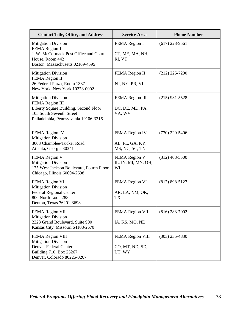| <b>Contact Title, Office, and Address</b>                                                                                                                   | <b>Service Area</b>                                 | <b>Phone Number</b> |
|-------------------------------------------------------------------------------------------------------------------------------------------------------------|-----------------------------------------------------|---------------------|
| <b>Mitigation Division</b><br>FEMA Region 1<br>J. W. McCormack Post Office and Court<br>House, Room 442<br>Boston, Massachusetts 02109-4595                 | FEMA Region I<br>CT, ME, MA, NH,<br>RI, VT          | $(617)$ 223-9561    |
| <b>Mitigation Division</b><br>FEMA Region II<br>26 Federal Plaza, Room 1337<br>New York, New York 10278-0002                                                | FEMA Region II<br>NJ, NY, PR, VI                    | $(212)$ 225-7200    |
| <b>Mitigation Division</b><br>FEMA Region III<br>Liberty Square Building, Second Floor<br>105 South Seventh Street<br>Philadelphia, Pennsylvania 19106-3316 | FEMA Region III<br>DC, DE, MD, PA,<br>VA, WV        | $(215)$ 931-5528    |
| FEMA Region IV<br><b>Mitigation Division</b><br>3003 Chamblee-Tucker Road<br>Atlanta, Georgia 30341                                                         | FEMA Region IV<br>AL, FL, GA, KY,<br>MS, NC, SC, TN | $(770)$ 220-5406    |
| FEMA Region V<br><b>Mitigation Division</b><br>175 West Jackson Boulevard, Fourth Floor<br>Chicago, Illinois 60604-2698                                     | FEMA Region V<br>IL, IN, MI, MN, OH,<br>WI          | $(312)$ 408-5500    |
| FEMA Region VI<br><b>Mitigation Division</b><br><b>Federal Regional Center</b><br>800 North Loop 288<br>Denton, Texas 76201-3698                            | FEMA Region VI<br>AR, LA, NM, OK,<br><b>TX</b>      | $(817) 898 - 5127$  |
| <b>FEMA Region VII</b><br><b>Mitigation Division</b><br>2323 Grand Boulevard, Suite 900<br>Kansas City, Missouri 64108-2670                                 | FEMA Region VII<br>IA, KS, MO, NE                   | $(816)$ 283-7002    |
| FEMA Region VIII<br><b>Mitigation Division</b><br>Denver Federal Center<br>Building 710, Box 25267<br>Denver, Colorado 80225-0267                           | FEMA Region VIII<br>CO, MT, ND, SD,<br>UT, WY       | $(303)$ 235-4830    |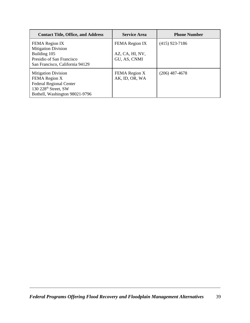| <b>Contact Title, Office, and Address</b>                                                                                                           | <b>Service Area</b>                               | <b>Phone Number</b> |
|-----------------------------------------------------------------------------------------------------------------------------------------------------|---------------------------------------------------|---------------------|
| FEMA Region IX<br><b>Mitigation Division</b><br>Building 105<br>Presidio of San Francisco<br>San Francisco, California 94129                        | FEMA Region IX<br>AZ, CA, HI, NV,<br>GU, AS, CNMI | $(415)$ 923-7186    |
| <b>Mitigation Division</b><br>FEMA Region X<br><b>Federal Regional Center</b><br>130 228 <sup>th</sup> Street, SW<br>Bothell, Washington 98021-9796 | FEMA Region X<br>AK, ID, OR, WA                   | $(206)$ 487-4678    |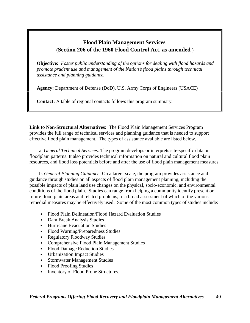# **Flood Plain Management Services** (**Section 206 of the 1960 Flood Control Act, as amended** )

**Objective:** *Foster public understanding of the options for dealing with flood hazards and promote prudent use and management of the Nation's flood plains through technical assistance and planning guidance.*

**Agency:** Department of Defense (DoD), U.S. Army Corps of Engineers (USACE)

**Contact:** A table of regional contacts follows this program summary.

**Link to Non-Structural Alternatives:** The Flood Plain Management Services Program provides the full range of technical services and planning guidance that is needed to support effective flood plain management. The types of assistance available are listed below.

 a. *General Technical Services.* The program develops or interprets site-specific data on floodplain patterns. It also provides technical information on natural and cultural flood plain resources, and flood loss potentials before and after the use of flood plain management measures.

 b. *General Planning Guidance.* On a larger scale, the program provides assistance and guidance through studies on all aspects of flood plain management planning, including the possible impacts of plain land use changes on the physical, socio-economic, and environmental conditions of the flood plain. Studies can range from helping a community identify present or future flood plain areas and related problems, to a broad assessment of which of the various remedial measures may be effectively used. Some of the most common types of studies include:

- Flood Plain Delineation/Flood Hazard Evaluation Studies
- Dam Break Analysis Studies
- Hurricane Evacuation Studies
- Flood Warning/Preparedness Studies
- Regulatory Floodway Studies
- Comprehensive Flood Plain Management Studies
- Flood Damage Reduction Studies
- Urbanization Impact Studies
- Stormwater Management Studies
- Flood Proofing Studies
- Inventory of Flood Prone Structures.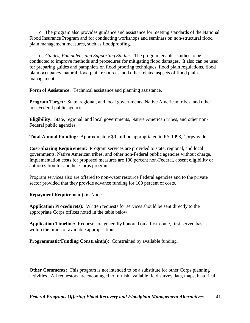c. The program also provides guidance and assistance for meeting standards of the National Flood Insurance Program and for conducting workshops and seminars on non-structural flood plain management measures, such as floodproofing.

 d. *Guides, Pamphlets, and Supporting Studies.* The program enables studies to be conducted to improve methods and procedures for mitigating flood damages. It also can be used for preparing guides and pamphlets on flood proofing techniques, flood plain regulations, flood plain occupancy, natural flood plain resources, and other related aspects of flood plain management.

**Form of Assistance:** Technical assistance and planning assistance.

**Program Target:** State, regional, and local governments, Native American tribes, and other non-Federal public agencies.

**Eligibility:** State, regional, and local governments, Native American tribes, and other non-Federal public agencies.

**Total Annual Funding:** Approximately \$9 million appropriated in FY 1998, Corps-wide.

**Cost-Sharing Requirement:** Program services are provided to state, regional, and local governments, Native American tribes, and other non-Federal public agencies without charge. Implementation costs for proposed measures are 100 percent non-Federal, absent eligibility or authorization for another Corps program.

Program services also are offered to non-water resource Federal agencies and to the private sector provided that they provide advance funding for 100 percent of costs.

**Repayment Requirement(s):** None.

**Application Procedure(s):** Written requests for services should be sent directly to the appropriate Corps offices noted in the table below.

**Application Timeline:** Requests are generally honored on a first-come, first-served basis, within the limits of available appropriations.

**Programmatic/Funding Constraint(s):** Constrained by available funding.

**Other Comments:** This program is not intended to be a substitute for other Corps planning activities. All requestors are encouraged to furnish available field survey data, maps, historical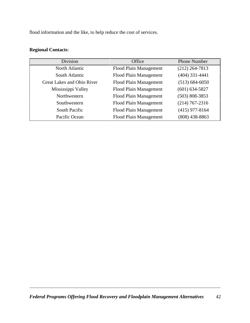flood information and the like, to help reduce the cost of services.

#### **Regional Contacts**:

| <b>Division</b>            | Office                 | <b>Phone Number</b> |
|----------------------------|------------------------|---------------------|
| North Atlantic             | Flood Plain Management | $(212)$ 264-7813    |
| South Atlantic             | Flood Plain Management | $(404)$ 331-4441    |
| Great Lakes and Ohio River | Flood Plain Management | $(513) 684 - 6050$  |
| Mississippi Valley         | Flood Plain Management | $(601) 634 - 5827$  |
| Northwestern               | Flood Plain Management | $(503) 808 - 3853$  |
| Southwestern               | Flood Plain Management | $(214)$ 767-2316    |
| South Pacific              | Flood Plain Management | $(415)$ 977-8164    |
| Pacific Ocean              | Flood Plain Management | $(808)$ 438-8863    |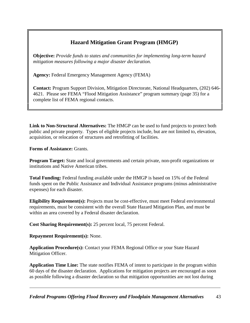# **Hazard Mitigation Grant Program (HMGP)**

**Objective:** *Provide funds to states and communities for implementing long-term hazard mitigation measures following a major disaster declaration.* 

**Agency:** Federal Emergency Management Agency (FEMA)

**Contact:** Program Support Division, Mitigation Directorate, National Headquarters, (202) 646- 4621. Please see FEMA "Flood Mitigation Assistance" program summary (page 35) for a complete list of FEMA regional contacts.

**Link to Non-Structural Alternatives:** The HMGP can be used to fund projects to protect both public and private property. Types of eligible projects include, but are not limited to, elevation, acquisition, or relocation of structures and retrofitting of facilities.

**Forms of Assistance:** Grants.

**Program Target:** State and local governments and certain private, non-profit organizations or institutions and Native American tribes.

**Total Funding:** Federal funding available under the HMGP is based on 15% of the Federal funds spent on the Public Assistance and Individual Assistance programs (minus administrative expenses) for each disaster.

**Eligibility Requirement(s):** Projects must be cost-effective, must meet Federal environmental requirements, must be consistent with the overall State Hazard Mitigation Plan, and must be within an area covered by a Federal disaster declaration.

**Cost Sharing Requirement(s):** 25 percent local, 75 percent Federal.

**Repayment Requirement(s):** None.

**Application Procedure(s):** Contact your FEMA Regional Office or your State Hazard Mitigation Officer.

**Application Time Line:** The state notifies FEMA of intent to participate in the program within 60 days of the disaster declaration. Applications for mitigation projects are encouraged as soon as possible following a disaster declaration so that mitigation opportunities are not lost during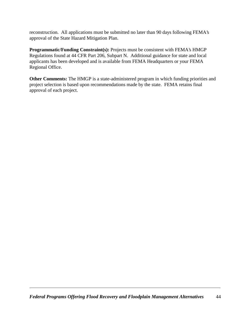reconstruction. All applications must be submitted no later than 90 days following FEMA's approval of the State Hazard Mitigation Plan.

**Programmatic/Funding Constraint(s):** Projects must be consistent with FEMA's HMGP Regulations found at 44 CFR Part 206, Subpart N. Additional guidance for state and local applicants has been developed and is available from FEMA Headquarters or your FEMA Regional Office.

**Other Comments:** The HMGP is a state-administered program in which funding priorities and project selection is based upon recommendations made by the state. FEMA retains final approval of each project.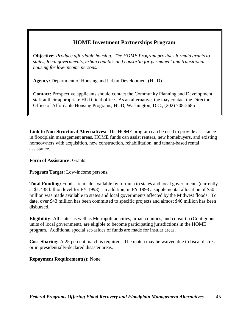## **HOME Investment Partnerships Program**

**Objective:** *Produce affordable housing. The HOME Program provides formula grants to states, local governments, urban counties and consortia for permanent and transitional housing for low-income persons.*

**Agency:** Department of Housing and Urban Development (HUD)

**Contact:** Prospective applicants should contact the Community Planning and Development staff at their appropriate HUD field office. As an alternative, the may contact the Director, Office of Affordable Housing Programs, HUD, Washington, D.C., (202) 708-2685

**Link to Non-Structural Alternatives:** The HOME program can be used to provide assistance in floodplain management areas. HOME funds can assist renters, new homebuyers, and existing homeowners with acquisition, new construction, rehabilitation, and tenant-based rental assistance.

#### **Form of Assistance:** Grants

**Program Target:** Low-income persons.

**Total Funding:** Funds are made available by formula to states and local governments (currently at \$1.438 billion level for FY 1998). In addition, in FY 1993 a supplemental allocation of \$50 million was made available to states and local governments affected by the Midwest floods. To date, over \$43 million has been committed to specific projects and almost \$40 million has been disbursed.

**Eligibility:** All states as well as Metropolitan cities, urban counties, and consortia (Contiguous units of local government), are eligible to become participating jurisdictions in the HOME program. Additional special set-asides of funds are made for insular areas.

**Cost-Sharing:** A 25 percent match is required. The match may be waived due to fiscal distress or in presidentially-declared disaster areas.

**Repayment Requirement(s):** None.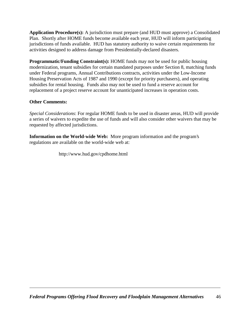**Application Procedure(s):** A jurisdiction must prepare (and HUD must approve) a Consolidated Plan. Shortly after HOME funds become available each year, HUD will inform participating jurisdictions of funds available. HUD has statutory authority to waive certain requirements for activities designed to address damage from Presidentially-declared disasters.

**Programmatic/Funding Constraint(s):** HOME funds may not be used for public housing modernization, tenant subsidies for certain mandated purposes under Section 8, matching funds under Federal programs, Annual Contributions contracts, activities under the Low-Income Housing Preservation Acts of 1987 and 1990 (except for priority purchasers), and operating subsidies for rental housing. Funds also may not be used to fund a reserve account for replacement of a project reserve account for unanticipated increases in operation costs.

#### **Other Comments:**

*Special Considerations*: For regular HOME funds to be used in disaster areas, HUD will provide a series of waivers to expedite the use of funds and will also consider other waivers that may be requested by affected jurisdictions.

**Information on the World-wide Web:** More program information and the program's regulations are available on the world-wide web at:

http://www.hud.gov/cpdhome.html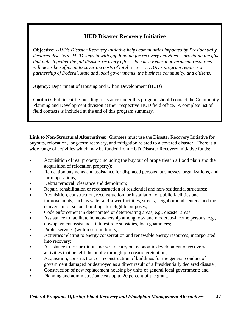# **HUD Disaster Recovery Initiative**

**Objective:** *HUD's Disaster Recovery Initiative helps communities impacted by Presidentially declared disasters. HUD steps in with gap funding for recovery activities -- providing the glue that pulls together the full disaster recovery effort. Because Federal government resources will never be sufficient to cover the costs of total recovery, HUD's program requires a partnership of Federal, state and local governments, the business community, and citizens.* 

**Agency:** Department of Housing and Urban Development (HUD)

**Contact:** Public entities needing assistance under this program should contact the Community Planning and Development division at their respective HUD field office. A complete list of field contacts is included at the end of this program summary.

**Link to Non-Structural Alternatives:** Grantees must use the Disaster Recovery Initiative for buyouts, relocation, long-term recovery, and mitigation related to a covered disaster. There is a wide range of activities which may be funded from HUD Disaster Recovery Initiative funds:

- Acquisition of real property (including the buy out of properties in a flood plain and the acquisition of relocation property);
- Relocation payments and assistance for displaced persons, businesses, organizations, and farm operations;
- Debris removal, clearance and demolition;
- Repair, rehabilitation or reconstruction of residential and non-residential structures;
- Acquisition, construction, reconstruction, or installation of public facilities and improvements, such as water and sewer facilities, streets, neighborhood centers, and the conversion of school buildings for eligible purposes;
- Code enforcement in deteriorated or deteriorating areas, e.g., disaster areas;
- Assistance to facilitate homeownership among low- and moderate-income persons, e.g., downpayment assistance, interest rate subsidies, loan guarantees;
- Public services (within certain limits);
- Activities relating to energy conservation and renewable energy resources, incorporated into recovery;
- Assistance to for-profit businesses to carry out economic development or recovery activities that benefit the public through job creation/retention;
- Acquisition, construction, or reconstruction of buildings for the general conduct of government damaged or destroyed as a direct result of a Presidentially declared disaster;
- Construction of new replacement housing by units of general local government; and
- Planning and administration costs up to 20 percent of the grant.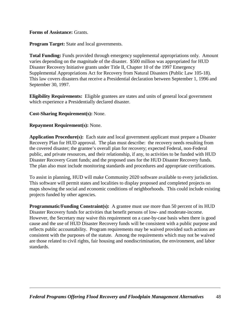**Forms of Assistance:** Grants.

**Program Target:** State and local governments.

**Total Funding:** Funds provided through emergency supplemental appropriations only. Amount varies depending on the magnitude of the disaster. \$500 million was appropriated for HUD Disaster Recovery Initiative grants under Title II, Chapter 10 of the 1997 Emergency Supplemental Appropriations Act for Recovery from Natural Disasters (Public Law 105-18). This law covers disasters that receive a Presidential declaration between September 1, 1996 and September 30, 1997.

**Eligibility Requirements:** Eligible grantees are states and units of general local government which experience a Presidentially declared disaster.

**Cost-Sharing Requirement(s):** None.

#### **Repayment Requirement(s):** None.

**Application Procedure(s):** Each state and local government applicant must prepare a Disaster Recovery Plan for HUD approval. The plan must describe: the recovery needs resulting from the covered disaster; the grantee's overall plan for recovery; expected Federal, non-Federal public, and private resources, and their relationship, if any, to activities to be funded with HUD Disaster Recovery Grant funds; and the proposed uses for the HUD Disaster Recovery funds. The plan also must include monitoring standards and procedures and appropriate certifications.

To assist in planning, HUD will make Community 2020 software available to every jurisdiction. This software will permit states and localities to display proposed and completed projects on maps showing the social and economic conditions of neighborhoods. This could include existing projects funded by other agencies.

**Programmatic/Funding Constraint(s):** A grantee must use more than 50 percent of its HUD Disaster Recovery funds for activities that benefit persons of low- and moderate-income. However, the Secretary may waive this requirement on a case-by-case basis when there is good cause and the use of HUD Disaster Recovery funds will be consistent with a public purpose and reflects public accountability. Program requirements may be waived provided such actions are consistent with the purposes of the statute. Among the requirements which may not be waived are those related to civil rights, fair housing and nondiscrimination, the environment, and labor standards.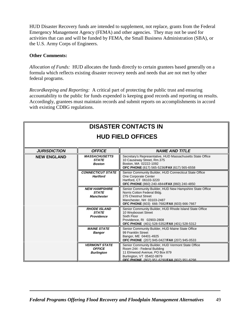HUD Disaster Recovery funds are intended to supplement, not replace, grants from the Federal Emergency Management Agency (FEMA) and other agencies. They may not be used for activities that can and will be funded by FEMA, the Small Business Administration (SBA), or the U.S. Army Corps of Engineers.

#### **Other Comments:**

*Allocation of Funds:* HUD allocates the funds directly to certain grantees based generally on a formula which reflects existing disaster recovery needs and needs that are not met by other federal programs.

*Recordkeeping and Reporting:* A critical part of protecting the public trust and ensuring accountability to the public for funds expended is keeping good records and reporting on results. Accordingly, grantees must maintain records and submit reports on accomplishments in accord with existing CDBG regulations.

# **DISASTER CONTACTS IN HUD FIELD OFFICES**

| <b>JURISDICTION</b> | <b>OFFICE</b>                                              | <b>NAME AND TITLE</b>                                                                                                                                                                          |
|---------------------|------------------------------------------------------------|------------------------------------------------------------------------------------------------------------------------------------------------------------------------------------------------|
| <b>NEW ENGLAND</b>  | <b>MASSACHUSETTS</b><br><b>STATE</b><br><b>Boston</b>      | Secretary's Representative, HUD Massachusetts State Office<br>10 Causeway Street, Rm.375<br>Boston, MA 02222-1092<br>OFC PHONE (617) 565-5236/FAX (617) 565-6558                               |
|                     | <b>CONNECTICUT STATE</b><br><b>Hartford</b>                | Senior Community Builder, HUD Connecticut State Office<br>One Corporate Center<br>Hartford, CT 06103-3220<br>OFC PHONE (860) 240-4844/FAX (860) 240-4850                                       |
|                     | <b>NEW HAMPSHIRE</b><br><b>STATE</b><br><b>Manchester</b>  | Senior Community Builder, HUD New Hampshire State Office<br>Norris Cotton Federal Bldg.<br>275 Chestnut Street<br>Manchester, NH 03103-2487<br>OFC PHONE (603) 666-7682/FAX (603) 666-7667     |
|                     | <b>RHODE ISLAND</b><br><b>STATE</b><br><b>Providence</b>   | Senior Community Builder, HUD Rhode Island State Office<br>10 Weybosset Street<br>Sixth Floor<br>Providence, RI 02903-2808<br>OFC PHONE (401) 528-5352/FAX (401) 528-5312                      |
|                     | <b>MAINE STATE</b><br><b>Bangor</b>                        | Senior Community Builder, HUD Maine State Office<br>99 Franklin Street<br>Bangor, ME 04401-4925<br><b>OFC PHONE</b> (207) 945-0427/ <b>FAX</b> (207) 945-0533                                  |
|                     | <b>VERMONT STATE</b><br><b>OFFICE</b><br><b>Burlington</b> | Senior Community Builder, HUD Vermont State Office<br>Room 244 - Federal Building<br>11 Elmwood Avenue, PO Box 879<br>Burlington, VT 05402-0879<br>OFC PHONE (802) 951-6290/FAX (802) 951-6298 |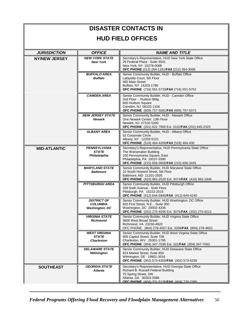# **DISASTER CONTACTS IN HUD FIELD OFFICES**

| <b>JURISDICTION</b>  | <b>OFFICE</b>                                                  | <b>NAME AND TITLE</b>                                                                                                                                                                              |
|----------------------|----------------------------------------------------------------|----------------------------------------------------------------------------------------------------------------------------------------------------------------------------------------------------|
| <b>NY/NEW JERSEY</b> | <b>NEW YORK STATE</b><br><b>New York</b>                       | Secretary's Representative, HUD New York State Office<br>26 Federal Plaza - Suite 3541<br>New York, NY 10278-0068<br>OFC PHONE (212) 264-1161/FAX (212) 264-3068                                   |
|                      | <b>BUFFALO AREA</b><br><b>Buffalo</b>                          | Senior Community Builder, HUD - Buffalo Office<br>Lafayette Court, 5th Floor<br>465 Main Street<br>Buffalo, NY 14203-1780<br>OFC PHONE (716) 551-5733/FAX (716) 551-5752                           |
|                      | <b>CAMDEN AREA</b>                                             | Senior Community Builder, HUD - Camden Office<br>2nd Floor - Hudson Bldg.<br>800 Hudson Square<br>Camden, NJ 08102-1156<br>OFC PHONE (609) 757-5081/FAX (609) 757-5373                             |
|                      | <b>NEW JERSEY STATE</b><br><b>Newark</b>                       | Senior Community Builder, HUD - Newark Office<br>One Newark Center, 13th Floor<br>Newark, NJ 07102-5260<br>OFC PHONE (201) 622 7900 Ext. 3102/FAX (201) 645-2323                                   |
|                      | <b>ALBANY AREA</b>                                             | Senior Community Builder, HUD - Albany Office<br>52 Corporate Circle<br>Albany, NY 12203-5121<br>OFC PHONE (518) 464-4200/FAX (518) 464-430                                                        |
| <b>MID-ATLANTIC</b>  | <b>PENNSYLVANIA</b><br><b>STATE</b><br>Philadelphia            | Secretary's Representative, HUD Pennsylvania State Office<br>The Wanamaker Building<br>100 Pennsylvania Square, East<br>Philadelphia, PA 19107-3380<br>OFC PHONE (215) 656-0606/FAX (215) 656-3445 |
|                      | <b>MARYLAND STATE</b><br><b>Baltimore</b>                      | Senior Community Builder, HUD Maryland State Office<br>10 South Howard Street, 5th Floor<br>Baltimore, MD 21201-2505<br>OFC PHONE (410) 962-2520 Ext. 3474/FAX (410) 962-1849                      |
|                      | <b>PITTSBURGH AREA</b>                                         | Senior Community Builder, HUD Pittsburgh Office<br>339 Sixth Avenue - Sixth Floor<br>Pittsburgh, PA 15222-2515<br>OFC PHONE (412) 644-5945/FAX (412) 644-4240                                      |
|                      | <b>DISTRICT OF</b><br><b>COLUMBIA</b><br><b>Washington, DC</b> | Senior Community Builder, HUD Washington, DC Office<br>820 First Street, N.E., Suite 300<br>Washington, DC 20002-4205<br>OFC PHONE (202) 275-9206 Ext. 3075/FAX (202) 275-9212                     |
|                      | <b>VIRGINIA STATE</b><br><b>Richmond</b>                       | Senior Community Builder, HUD Virginia State Office<br>3600 West Broad Street<br>Richmond, VA 23230-4920<br>OFC PHONE (804) 278-4507 Ext. 3208/FAX (804) 278-4603                                  |
|                      | <b>WEST VIRGINIA</b><br><b>STATE</b><br><b>Charleston</b>      | Senior Community Builder, HUD West Virginia State Office<br>405 Capitol Street, Suite 708<br>Charleston, WV 25301-1795<br>OFC PHONE (304) 347-7036 Ext. 101/FAX (304) 347-7050                     |
|                      | <b>DELAWARE STATE</b><br>Wilmington                            | Senior Community Builder, HUD Delaware State Office<br>824 Market Street, Suite 850<br>Wilmington, DE 19801-3016<br>OFC PHONE (302) 573-6300/FAX (302) 573-6259                                    |
| <b>SOUTHEAST</b>     | <b>GEORGIA STATE</b><br><b>Atlanta</b>                         | Secretary's Representative, HUD Georgia State Office<br>Richard B. Russell Federal Building<br>75 Spring Street, SW<br>Atlanta, GA 30303-3388<br>OFC PHONE (404) 331-5136/FAX (404) 730-2365       |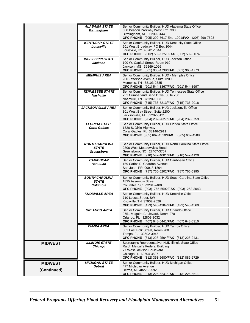|                | <b>ALABAMA STATE</b><br><b>Birmingham</b>           | Senior Community Builder, HUD Alabama State Office<br>600 Beacon Parkway West, Rm. 300<br>Birmingham, AL 35209-3144<br>OFC PHONE (205) 290-7617 Ext. 1001/FAX (205) 290-7593                   |
|----------------|-----------------------------------------------------|------------------------------------------------------------------------------------------------------------------------------------------------------------------------------------------------|
|                | <b>KENTUCKY STATE</b><br>Louisville                 | Senior Community Builder, HUD Kentucky State Office<br>601 West Broadway, PO Box 1044<br>Louisville, KY 40201-1044<br>OFC PHONE (502) 582-5251/FAX (502) 582-6074                              |
|                | <b>MISSISSIPPI STATE</b><br>Jackson                 | Senior Community Builder, HUD Jackson Office<br>100 W. Capitol Street, Room 910<br>Jackson, MS 39269-1096<br><b>OFC PHONE</b> (601) 965-4738/ <b>FAX</b> (601) 965-4773                        |
|                | <b>MEMPHIS AREA</b>                                 | Senior Community Builder, HUD - Memphis Office<br>200 Jefferson Avenue, Suite 1200<br>Memphis, TN 38103-2335<br>OFC PHONE (901) 544-3367/FAX (901) 544-3697                                    |
|                | <b>TENNESSEE STATE</b><br><b>Nashville</b>          | Senior Community Builder, HUD Tennessee State Office<br>251 Cumberland Bend Drive, Suite 200<br>Nashville, TN 37228-1803<br><b>OFC PHONE</b> (615) 736-5213/ <b>FAX</b> (615) 736-2018         |
|                | <b>JACKSONVILLE AREA</b>                            | Senior Community Builder, HUD Jacksonville Office<br>301 West Bay Street, Suite 2200<br>Jacksonville, FL 32202-5121<br><b>OFC PHONE</b> (904) 232-2627/ <b>FAX</b> (904) 232-3759              |
|                | <b>FLORIDA STATE</b><br><b>Coral Gables</b>         | Senior Community Builder, HUD Florida State Office<br>1320 S. Dixie Highway<br>Coral Gables, FL 33146-2911<br>OFC PHONE (305) 662-4510/FAX (305) 662-4588                                      |
|                | <b>NORTH CAROLINA</b><br><b>STATE</b><br>Greensboro | Senior Community Builder, HUD North Carolina State Office<br>2306 West Meadowview Road<br>Greensboro, NC 27407-3707<br>OFC PHONE (910) 547-4001/FAX (910) 547-4120                             |
|                | <b>CARIBBEAN</b><br>San Juan                        | Senior Community Builder, HUD Caribbean Office<br>159 Carlos E. Chardon Avenue<br>San Juan, PR 00918-1804<br>OFC PHONE (787) 766-5202/FAX (787) 766-5995                                       |
|                | <b>SOUTH CAROLINA</b><br><b>STATE</b><br>Columbia   | Senior Community Builder, HUD South Carolina State Office<br>1835 Assembly Street<br>Columbia, SC 29201-2480<br>OFC PHONE (803) 765-5592/FAX (803) 253-3043                                    |
|                | <b>KNOXVILLE AREA</b>                               | Senior Community Builder, HUD Knoxville Office<br>710 Locust Street, SW<br>Knoxville, TN 37902-2526<br><b>OFC PHONE</b> (423) 545-4384/ <b>FAX</b> (423) 545-4569                              |
|                | <b>ORLANDO AREA</b>                                 | Senior Community Builder, HUD Orlando Office<br>3751 Maguire Boulevard, Room 270<br>Orlando, FL 32803-3032<br>OFC PHONE (407) 648-6441/FAX (407) 648-6310                                      |
|                | TAMPA AREA                                          | Senior Community Builder, HUD Tampa Office<br>501 East Polk Street, Room 700<br>Tampa, FL 33602-3945<br>OFC PHONE (813) 228-2504/FAX (813) 228-2431                                            |
| <b>MIDWEST</b> | <b>ILLINOIS STATE</b><br>Chicago                    | Secretary's Representative, HUD Illinois State Office<br>Ralph Metcalfe Federal Building<br>77 West Jackson Boulevard<br>Chicago, IL 60604-3507<br>OFC PHONE (312) 353-5680/FAX (312) 886-2729 |
| <b>MIDWEST</b> | <b>MICHIGAN STATE</b>                               | Senior Community Builder, HUD Michigan Office                                                                                                                                                  |
| (Continued)    | Detroit                                             | 477 Michigan Avenue<br>Detroit, MI 48226-2592<br>OFC PHONE (313) 226-6241/FAX (313) 226-5611                                                                                                   |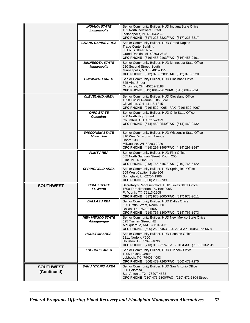|                                 | <b>INDIANA STATE</b><br>Indianapolis   | Senior Community Builder, HUD Indiana State Office<br>151 North Delaware Street<br>Indianapolis, IN 46204-2526                                                                           |
|---------------------------------|----------------------------------------|------------------------------------------------------------------------------------------------------------------------------------------------------------------------------------------|
|                                 | GRAND RAPIDS AREA                      | OFC PHONE (317) 226-6322/FAX (317) 226-6317<br>Senior Community Builder, HUD Grand Rapids                                                                                                |
|                                 |                                        | <b>Trade Center Building</b><br>50 Louis Street. N.W.<br>Grand Rapids, MI 49503-2648<br><b>OFC PHONE</b> (616) 456-2103/ <b>FAX</b> (616) 456-2191                                       |
|                                 | <b>MINNESOTA STATE</b><br>Minneapolis  | Senior Community Builder, HUD Minnesota State Office<br>220 Second Street, South<br>Minneapolis, MN 55401-2195<br>OFC PHONE (612) 370-3289/FAX (612) 370-3220                            |
|                                 | <b>CINCINNATI AREA</b>                 | Senior Community Builder, HUD Cincinnati Office<br>525 Vine Street<br>Cincinnati, OH 45202-3188<br>OFC PHONE (513) 684-2967/FAX (513) 684-6224                                           |
|                                 | <b>CLEVELAND AREA</b>                  | Senior Community Builder, HUD Cleveland Office<br>1350 Euclid Avenue, Fifth Floor<br>Cleveland, OH 44115-1815<br>OFC PHONE (216) 522-4065 FAX (216) 522-4067                             |
|                                 | <b>OHIO STATE</b><br><b>Columbus</b>   | Senior Community Builder, HUD Ohio State Office<br>200 North High Street<br>Columbus, OH 43215-2499<br>OFC PHONE (614) 469-2540/FAX (614) 469-2432                                       |
|                                 | <b>WISCONSIN STATE</b><br>Milwaukee    | Senior Community Builder, HUD Wisconsin State Office<br>310 West Wisconsin Avenue<br>Room 1380<br>Milwaukee, WI 53203-2289<br><b>OFC PHONE</b> (414) 297-1495/ <b>FAX</b> (414) 297-3947 |
|                                 | <b>FLINT AREA</b>                      | Senior Community Builder, HUD Flint Office<br>605 North Saginaw Street, Room 200<br>Flint, MI 48502-1953<br>OFC PHONE (313) 766-5107/FAX (810) 766-5122                                  |
|                                 | <b>SPRINGFIELD AREA</b>                | Senior Community Builder, HUD Springfield Office<br>509 West Capitol, Suite 206<br>Springfield, IL 62704-1906<br><b>OFC PHONE</b> (800) 206-2739                                         |
| <b>SOUTHWEST</b>                | <b>TEXAS STATE</b><br>Ft. Worth        | Secretary's Representative, HUD Texas State Office<br>1600 Throckmorton, PO Box 2905<br>Ft. Worth, TX 76113-2905<br>OFC PHONE (817) 978-9000/FAX (817) 978-9011                          |
|                                 | <b>DALLAS AREA</b>                     | Senior Community Builder, HUD Dallas Office<br>525 Griffin Street, Room 860<br>Dallas, TX 75202-5007<br>OFC PHONE (214) 767-8300/FAX (214) 767-8973                                      |
|                                 | <b>NEW MEXICO STATE</b><br>Albuquerque | Senior Community Builder, HUD New Mexico State Office<br>625 Truman Street, NE<br>Albuquerque, NM 87110-6472<br>OFC PHONE (505) 262-6463 Ext. 223/FAX (505) 262-6604                     |
|                                 | <b>HOUSTON AREA</b>                    | Senior Community Builder, HUD Houston Office<br>2211 Norfolk, #200<br>Houston, TX 77098-4096<br><b>OFC PHONE</b> (713) 313-2274 Ext. 7015/FAX (713) 313-2319                             |
|                                 | <b>LUBBOCK AREA</b>                    | Senior Community Builder, HUD Lubbock Office<br>1205 Texas Avenue<br>Lubbock, TX 79401-4093<br>OFC PHONE (806) 472-7265/FAX (806) 472-7275                                               |
| <b>SOUTHWEST</b><br>(Continued) | <b>SAN ANTONIO AREA</b>                | Senior Community Builder, HUD San Antonio Office<br>800 Dolorosa<br>San Antonio, TX 78207-4563<br><b>OFC PHONE</b> (210) 475-6800/FAX (210) 472-6804 Street                              |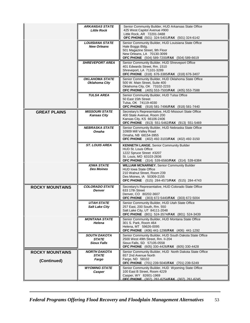|                                       | <b>ARKANSAS STATE</b><br><b>Little Rock</b>               | Senior Community Builder, HUD Arkansas State Office<br>425 West Capitol Avenue #900<br>Little Rock, AR 72201-3488<br>OFC PHONE (501) 324-5401/FAX (501) 324-6142                                    |
|---------------------------------------|-----------------------------------------------------------|-----------------------------------------------------------------------------------------------------------------------------------------------------------------------------------------------------|
|                                       | LOUISIANA STATE<br><b>New Orleans</b>                     | Senior Community Builder, HUD Louisiana State Office<br>Hale Boggs Bldg.<br>501 Magazine Street, 9th Floor<br>New Orleans, LA 70130-3099<br>OFC PHONE (504) 589-7200/FAX (504) 589-6619             |
|                                       | <b>SHREVEPORT AREA</b>                                    | Senior Community Builder, HUD Shreveport Office<br>401 Edwards Street, Rm. 1510<br>Shreveport, LA 71101-3289<br>OFC PHONE (318) 676-3385/FAX (318) 676-3407                                         |
|                                       | <b>OKLAHOMA STATE</b><br>Oklahoma City                    | Senior Community Builder, HUD Oklahoma State Office<br>500 W. Main Street, Suite 400<br>Oklahoma City, OK 73102-2233<br>OFC PHONE (405) 553-7500/FAX (405) 553-7588                                 |
|                                       | <b>TULSA AREA</b>                                         | Senior Community Builder, HUD Tulsa Office<br>50 East 15th Street<br>Tulsa, OK 74119-4030<br>OFC PHONE (918) 581-7496/FAX (918) 581-7440                                                            |
| <b>GREAT PLAINS</b>                   | <b>MISSOURI STATE</b><br><b>Kansas City</b>               | Secretary's Representative, HUD Missouri State Office<br>400 State Avenue, Room 200<br>Kansas City, KS 66106-2406<br>OFC PHONE (913) 551-5462/FAX (913) 551-5469                                    |
|                                       | <b>NEBRASKA STATE</b><br>Omaha                            | Senior Community Builder, HUD Nebraska State Office<br>10909 Mill Valley Road<br>Omaha, NB 68154-3955<br>OFC PHONE (402) 492-3103/FAX (402) 492-3150                                                |
|                                       | <b>ST. LOUIS AREA</b>                                     | <b>KENNETH LANGE, Senior Community Builder</b><br><b>HUD St. Louis Office</b><br>1222 Spruce Street #3207<br>St. Louis, MO 63103-2836<br><b>OFC PHONE</b> (314) 539-6560/FAX (314) 539-6384         |
|                                       | <b>IOWA STATE</b><br><b>Des Moines</b>                    | <b>WILLIAM MCNARNEY, Senior Community Builder</b><br><b>HUD Iowa State Office</b><br>210 Walnut Street, Room 239<br>Des Moines, IA 50309-2155<br><b>OFC PHONE</b> (515) 284-4573/FAX (515) 284-4743 |
| <b>ROCKY MOUNTAINS</b>                | <b>COLORADO STATE</b><br>Denver                           | Secretary's Representative, HUD Colorado State Office<br>633 17th Street<br>Denver, CO 80202-3607<br>OFC PHONE (303) 672-5440/FAX (303) 672-5004                                                    |
|                                       | UTAH STATE<br><b>Salt Lake City</b>                       | Senior Community Builder, HUD Utah State Office<br>257 East, 200 South, Rm. 550<br>Salt Lake City, UT 84111-2048<br>OFC PHONE (801) 524-3574/FAX (801) 524-3439                                     |
|                                       | <b>MONTANA STATE</b><br>Helena                            | Senior Community Builder, HUD Montana State Office<br>301 S. Park, Room 464<br>Helena, MT 59626-0095<br>OFC PHONE (406) 441-1298/FAX (406) 441-1292                                                 |
|                                       | <b>SOUTH DAKOTA</b><br><b>STATE</b><br><b>Sioux Falls</b> | Senior Community Builder, HUD South Dakota State Office<br>2500 West 49th Street, Rm. II-204<br>Sioux Falls, SD 57105-0558<br><b>OFC PHONE</b> (605) 330-4426/FAX (605) 330-4428                    |
| <b>ROCKY MOUNTAINS</b><br>(Continued) | <b>NORTH DAKOTA</b><br><b>STATE</b><br>Fargo              | Senior Community Builder, HUD North Dakota State Office<br>657 2nd Avenue North<br>Fargo, ND 58102<br>OFC PHONE (701) 239-5040/FAX (701) 239-5249                                                   |
|                                       | <b>WYOMING STATE</b><br>Casper                            | Senior Community Builder, HUD Wyoming State Office<br>100 East B Street, Room 4229<br>Casper, WY 82601-1969<br>OFC PHONF (307) 261-6254/FAX (307) 261-6245                                          |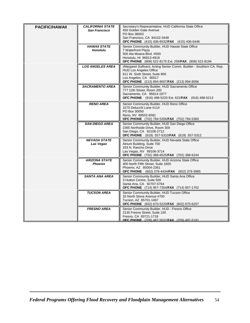| PACIFIC/HAWAII | <b>CALIFORNIA STATE</b><br><b>San Francisco</b> | Secretary's Representative, HUD California State Office<br>450 Golden Gate Avenue<br>PO Box 36003<br>San Francisco, CA 94102-3448<br>OFC PHONE (415) 436-6532/FAX (415) 436-6446                                |
|----------------|-------------------------------------------------|-----------------------------------------------------------------------------------------------------------------------------------------------------------------------------------------------------------------|
|                | <b>HAWAII STATE</b><br><b>Honolulu</b>          | Senior Community Builder, HUD Hawaii State Office<br>7 Waterfront Plaza<br>500 Ala Moana Blvd. #500<br>Honolulu, HI 96813-4918<br>OFC PHONE (808) 522-8175 Ext. 259/FAX (808) 522-8194                          |
|                | <b>LOS ANGELES AREA</b>                         | (Margaret Sullivan), Acting Senior Comm. Builder - Southern CA. Rep.<br><b>HUD Los Angeles Office</b><br>611 W. Sixth Street, Suite 800<br>Los Angeles, CA 90017<br>OFC PHONE (213) 894-8007/FAX (213) 894-8096 |
|                | <b>SACRAMENTO AREA</b>                          | Senior Community Builder, HUD Sacramento Office<br>777 12th Street, Room 200<br>Sacramento, CA 95814-1977<br><b>OFC PHONE</b> (916) 498-5220 Ext. 622/ <b>FAX</b> (916) 498-5213                                |
|                | <b>RENO AREA</b>                                | Senior Community Builder, HUD Reno Office<br>1575 Delucchi Lane #114<br>PO Box 30050<br>Reno, NV 89502-6581<br>OFC PHONE (702) 784-5356/FAX (702) 784-5360                                                      |
|                | <b>SAN DIEGO AREA</b>                           | Senior Community Builder, HUD San Diego Office<br>2365 Northside Drive, Room 300<br>San Diego, CA 92108-2712<br>OFC PHONE (619) 557-5310/FAX (619) 557-5312                                                     |
|                | <b>NEVADA STATE</b><br>Las Vegas                | Senior Community Builder, HUD Nevada State Office<br>Atrium Building, Suite 700<br>333 N. Rancho Drive<br>Las Vegas, NV 89106-3714<br>OFC PHONE (702) 388-6525/FAX (702) 388-6244                               |
|                | <b>ARIZONA STATE</b><br><b>Phoenix</b>          | Senior Community Builder, HUD Arizona State Office<br>400 North Fifth Street, Suite 1600<br>Phoenix, AZ 85004-2361<br>OFC PHONE (602) 379-4434/FAX (602) 379-3985                                               |
|                | <b>SANTA ANA AREA</b>                           | Senior Community Builder, HUD Santa Ana Office<br>3 Hutton Centre, Suite 500<br>Santa Ana, CA 92707-5764<br>OFC PHONE (714) 957-7354/FAX (714) 957-1702                                                         |
|                | <b>TUCSON AREA</b>                              | Senior Community Builder, HUD Tucson Office<br>33 North Stone Avenue #700<br>Tucson, AZ 85701-1467<br>OFC PHONE (602) 670-5220/FAX (602) 670-6207                                                               |
|                | <b>FRESNO AREA</b>                              | Senior Community Builder, HUD - Fresno Office<br>2135 Fresno Street, Suite 100<br>Fresno, CA 93721-1718<br>OFC PHONE (209) 487-5032/FAX (209) 487-5191                                                          |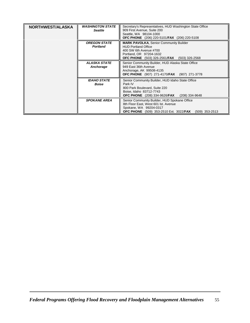| <b>NORTHWEST/ALASKA</b> | <b><i>WASHINGTON STATE</i></b><br><b>Seattle</b> | Secretary's Representatives, HUD Washington State Office<br>909 First Avenue, Suite 200<br>Seattle, WA 98104-1000<br>OFC PHONE (206) 220-5101/FAX (206) 220-5108                         |
|-------------------------|--------------------------------------------------|------------------------------------------------------------------------------------------------------------------------------------------------------------------------------------------|
|                         | <b>OREGON STATE</b><br><b>Portland</b>           | <b>MARK PAVOLKA, Senior Community Builder</b><br><b>HUD Portland Office</b><br>400 SW 6th Avenue #700<br>Portland, OR 97204-1632<br><b>OFC PHONE</b> (503) 326-2561/FAX (503) 326-2568   |
|                         | ALASKA STATE<br>Anchorage                        | Senior Community Builder, HUD Alaska State Office<br>949 East 36th Avenue<br>Anchorage, AK 99508-4135<br><b>OFC PHONE</b> (907) 271-4170/FAX (907) 271-3778                              |
|                         | <b>IDAHO STATE</b><br><b>Boise</b>               | Senior Community Builder, HUD Idaho State Office<br>Park IV<br>800 Park Boulevard, Suite 220<br>Boise, Idaho 83712-7743<br><b>OFC PHONE</b> (208) 334-9626/ <b>FAX</b><br>(208) 334-9648 |
|                         | <b>SPOKANE AREA</b>                              | Senior Community Builder, HUD Spokane Office<br>8th Floor East, West 601 lst. Avenue<br>Spokane, WA 99204-0317<br><b>OFC PHONE</b> (509) 353-2510 Ext. 3022/FAX<br>$(509)$ 353-2513      |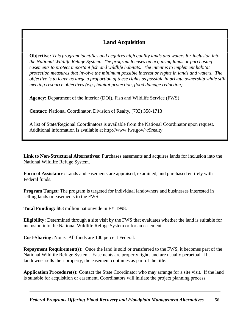# **Land Acquisition**

**Objective:** *This program identifies and acquires high quality lands and waters for inclusion into the National Wildlife Refuge System. The program focuses on acquiring lands or purchasing easements to protect important fish and wildlife habitats. The intent is to implement habitat protection measures that involve the minimum possible interest or rights in lands and waters. The objective is to leave as large a proportion of these rights as possible in private ownership while stil meeting resource objectives (e.g., habitat protection, flood damage reduction).* 

**Agency:** Department of the Interior (DOI), Fish and Wildlife Service (FWS)

**Contact:** National Coordinator, Division of Realty, (703) 358-1713

A list of State/Regional Coordinators is available from the National Coordinator upon request. Additional information is available at http://www.fws.gov/~r9realty

**Link to Non-Structural Alternatives:** Purchases easements and acquires lands for inclusion into the National Wildlife Refuge System.

**Form of Assistance:** Lands and easements are appraised, examined, and purchased entirely with Federal funds.

**Program Target**: The program is targeted for individual landowners and businesses interested in selling lands or easements to the FWS.

**Total Funding:** \$63 million nationwide in FY 1998.

**Eligibility:** Determined through a site visit by the FWS that evaluates whether the land is suitable for nclusion into the National Wildlife Refuge System or for an easement.

**Cost-Sharing:** None. All funds are 100 percent Federal.

**Repayment Requirement(s):** Once the land is sold or transferred to the FWS, it becomes part of the National Wildlife Refuge System. Easements are property rights and are usually perpetual. If a andowner sells their property, the easement continues as part of the title.

**Application Procedure(s):** Contact the State Coordinator who may arrange for a site visit. If the land is suitable for acquisition or easement, Coordinators will initiate the project planning process.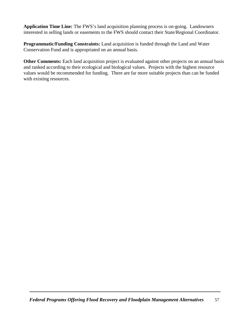**Application Time Line:** The FWS's land acquisition planning process is on-going. Landowners nterested in selling lands or easements to the FWS should contact their State/Regional Coordinator.

**Programmatic/Funding Constraints:** Land acquisition is funded through the Land and Water Conservation Fund and is appropriated on an annual basis.

**Other Comments:** Each land acquisition project is evaluated against other projects on an annual basis and ranked according to their ecological and biological values. Projects with the highest resource values would be recommended for funding. There are far more suitable projects than can be funded with existing resources.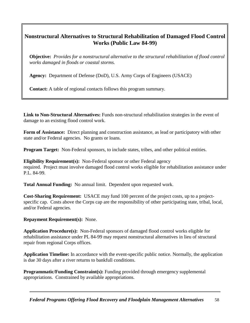### **Nonstructural Alternatives to Structural Rehabilitation of Damaged Flood Control Works (Public Law 84-99)**

**Objective:** *Provides for a nonstructural alternative to the structural rehabilitation of flood control works damaged in floods or coastal storms.*

**Agency:** Department of Defense (DoD), U.S. Army Corps of Engineers (USACE)

**Contact:** A table of regional contacts follows this program summary.

**Link to Non-Structural Alternatives:** Funds non-structural rehabilitation strategies in the event of damage to an existing flood control work.

**Form of Assistance:** Direct planning and construction assistance, as lead or participatory with other state and/or Federal agencies. No grants or loans.

**Program Target:** Non-Federal sponsors, to include states, tribes, and other political entities.

**Eligibility Requirement(s):** Non-Federal sponsor or other Federal agency required. Project must involve damaged flood control works eligible for rehabilitation assistance unde P.L. 84-99.

**Total Annual Funding:** No annual limit. Dependent upon requested work.

**Cost-Sharing Requirement:** USACE may fund 100 percent of the project costs, up to a projectspecific cap. Costs above the Corps cap are the responsibility of other participating state, tribal, local, and/or Federal agencies.

**Repayment Requirement(s):** None.

**Application Procedure(s):** Non-Federal sponsors of damaged flood control works eligible for rehabilitation assistance under PL 84-99 may request nonstructural alternatives in lieu of structural repair from regional Corps offices.

**Application Timeline:** In accordance with the event-specific public notice. Normally, the application s due 30 days after a river returns to bankfull conditions.

**Programmatic/Funding Constraint(s):** Funding provided through emergency supplemental appropriations. Constrained by available appropriations.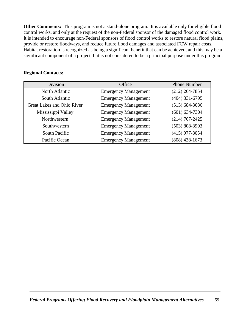**Other Comments:** This program is not a stand-alone program. It is available only for eligible flood control works, and only at the request of the non-Federal sponsor of the damaged flood control work. It is intended to encourage non-Federal sponsors of flood control works to restore natural flood plains, provide or restore floodways, and reduce future flood damages and associated FCW repair costs. Habitat restoration is recognized as being a significant benefit that can be achieved, and this may be a significant component of a project, but is not considered to be a principal purpose under this program.

# **Division Office** Phone Number North Atlantic Emergency Management (212) 264-7854 South Atlantic Emergency Management (404) 331-6795 Great Lakes and Ohio River Emergency Management (513) 684-3086 Mississippi Valley Emergency Management (601) 634-7304 Northwestern Emergency Management (214) 767-2425 Southwestern Emergency Management (503) 808-3903 South Pacific Emergency Management (415) 977-8054 Pacific Ocean Emergency Management (808) 438-1673

#### **Regional Contacts:**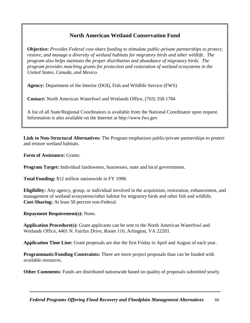### **North American Wetland Conservation Fund**

**Objective:** *Provides Federal cost-share funding to stimulate public-private partnerships to protect, restore, and manage a diversity of wetland habitats for migratory birds and other wildlife. The program also helps maintain the proper distribution and abundance of migratory birds. The program provides matching grants for protection and restoration of wetland ecosystems in the United States, Canada, and Mexico.* 

**Agency:** Department of the Interior (DOI), Fish and Wildlife Service (FWS)

**Contact:** North American Waterfowl and Wetlands Office, (703) 358-1784

A list of all State/Regional Coordinators is available from the National Coordinator upon request. Information is also available on the Internet at http://www.fws.gov

**Link to Non-Structural Alternatives:** The Program emphasizes public/private partnerships to protect and restore wetland habitats.

**Form of Assistance:** Grants.

**Program Target:** Individual landowners, businesses, state and local governments.

**Total Funding:** \$12 million nationwide in FY 1998.

**Eligibility:** Any agency, group, or individual involved in the acquisition, restoration, enhancement, and management of wetland ecosystems/other habitat for migratory birds and other fish and wildlife. **Cost-Sharing:** At least 50 percent non-Federal.

**Repayment Requirement(s):** None.

**Application Procedure(s):** Grant applicants can be sent to the North American Waterfowl and Wetlands Office, 4401 N. Fairfax Drive, Room 110, Arlington, VA 22203.

**Application Time Line:** Grant proposals are due the first Friday in April and August of each year.

**Programmatic/Funding Constraints:** There are more project proposals than can be funded with available resources.

**Other Comments:** Funds are distributed nationwide based on quality of proposals submitted yearly.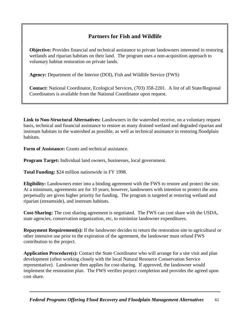### **Partners for Fish and Wildlife**

**Objective:** Provides financial and technical assistance to private landowners interested in restoring wetlands and riparian habitats on their land. The program uses a non-acquisition approach to voluntary habitat restoration on private lands.

**Agency:** Department of the Interior (DOI), Fish and Wildlife Service (FWS)

**Contact:** National Coordinator, Ecological Services, (703) 358-2201. A list of all State/Regional Coordinators is available from the National Coordinator upon request.

**Link to Non-Structural Alternatives:** Landowners in the watershed receive, on a voluntary request basis, technical and financial assistance to restore as many drained wetland and degraded riparian and nstream habitats in the watershed as possible, as well as technical assistance in restoring floodplain habitats.

**Form of Assistance:** Grants and technical assistance.

**Program Target:** Individual land owners, businesses, local government.

**Total Funding:** \$24 million nationwide in FY 1998.

**Eligibility:** Landowners enter into a binding agreement with the FWS to restore and protect the site. At a minimum, agreements are for 10 years; however, landowners with intention to protect the area perpetually are given higher priority for funding. The program is targeted at restoring wetland and riparian (streamside), and instream habitats.

**Cost-Sharing:** The cost sharing agreement is negotiated. The FWS can cost share with the USDA, state agencies, conservation organization, etc, to minimize landowner expenditures.

**Repayment Requirement(s):** If the landowner decides to return the restoration site to agricultural or other intensive use prior to the expiration of the agreement, the landowner must refund FWS contribution to the project.

**Application Procedure(s):** Contact the State Coordinator who will arrange for a site visit and plan development (often working closely with the local Natural Resource Conservation Service representative). Landowner then applies for cost-sharing. If approved, the landowner would mplement the restoration plan. The FWS verifies project completion and provides the agreed upon cost share.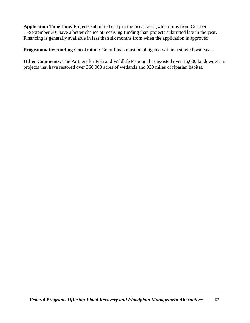**Application Time Line:** Projects submitted early in the fiscal year (which runs from October 1 -September 30) have a better chance at receiving funding than projects submitted late in the year. Financing is generally available in less than six months from when the application is approved.

**Programmatic/Funding Constraints:** Grant funds must be obligated within a single fiscal year.

**Other Comments:** The Partners for Fish and Wildlife Program has assisted over 16,000 landowners in projects that have restored over 360,000 acres of wetlands and 930 miles of riparian habitat.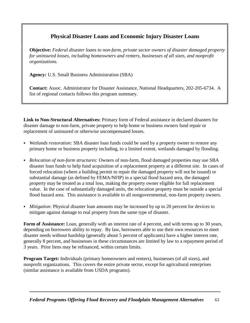# **Physical Disaster Loans and Economic Injury Disaster Loans**

**Objective:** *Federal disaster loans to non-farm, private sector owners of disaster damaged property for uninsured losses, including homeowners and renters, businesses of all sizes, and nonprofit organizations.*

**Agency:** U.S. Small Business Administration (SBA)

**Contact:** Assoc. Administrator for Disaster Assistance, National Headquarters, 202-205-6734. A list of regional contacts follows this program summary.

**Link to Non-Structural Alternatives:** Primary form of Federal assistance in declared disasters for disaster damage to non-farm, private property to help home or business owners fund repair or replacement of uninsured or otherwise uncompensated losses.

- *Wetlands restoration:* SBA disaster loan funds could be used by a property owner to restore any primary home or business property including, to a limited extent, wetlands damaged by flooding.
- C *Relocation of non-farm structures:* Owners of non-farm, flood damaged properties may use SBA disaster loan funds to help fund acquisition of a replacement property at a different site. In cases of forced relocation (where a building permit to repair the damaged property will not be issued) or substantial damage (as defined by FEMA/NFIP) in a special flood hazard area, the damaged property may be treated as a total loss, making the property owner eligible for full replacement value. In the case of substantially damaged units, the relocation property must be outside a special flood hazard area. This assistance is available to all nongovernmental, non-farm property owners.
- *Mitigation:* Physical disaster loan amounts may be increased by up to 20 percent for devices to mitigate against damage to real property from the same type of disaster.

**Form of Assistance:** Loan, generally with an interest rate of 4 percent, and with terms up to 30 years, depending on borrowers ability to repay. By law, borrowers able to use their own resources to meet disaster needs without hardship (generally about 5 percent of applicants) have a higher interest rate, generally 8 percent, and businesses in these circumstances are limited by law to a repayment period of 3 years. Prior liens may be refinanced, within certain limits.

**Program Target:** Individuals (primary homeowners and renters), businesses (of all sizes), and nonprofit organizations. This covers the entire private sector, except for agricultural enterprises similar assistance is available from USDA programs).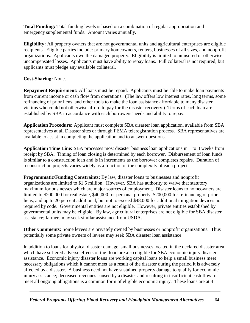**Total Funding:** Total funding levels is based on a combination of regular appropriation and emergency supplemental funds. Amount varies annually.

**Eligibility:** All property owners that are not governmental units and agricultural enterprises are eligible recipients. Eligible parties include: primary homeowners, renters, businesses of all sizes, and nonprofitorganizations. Applicants own the damaged property. Eligibility is limited to uninsured or otherwise uncompensated losses. Applicants must have ability to repay loans. Full collateral is not required, but applicants must pledge any available collateral.

#### **Cost-Sharing:** None.

**Repayment Requirement:** All loans must be repaid. Applicants must be able to make loan payments from current income or cash flow from operations. (The law offers low interest rates, long terms, some refinancing of prior liens, and other tools to make the loan assistance affordable to many disaster victims who could not otherwise afford to pay for the disaster recovery.) Terms of each loan are established by SBA in accordance with each borrowers' needs and ability to repay.

**Application Procedure:** Applicant must complete SBA disaster loan application, available from SBA representatives at all Disaster sites or through FEMA teleregistration process. SBA representatives are available to assist in completing the application and to answer questions.

**Application Time Line:** SBA processes most disaster business loan applications in 1 to 3 weeks from receipt by SBA. Timing of loan closing is determined by each borrower. Disbursement of loan funds is similar to a construction loan and is in increments as the borrower completes repairs. Duration of reconstruction projects varies widely as a function of the complexity of each project.

**Programmatic/Funding Constraints:** By law, disaster loans to businesses and nonprofit organizations are limited to \$1.5 million. However, SBA has authority to waive that statutory maximum for businesses which are major sources of employment. Disaster loans to homeowners are imited to \$200,000 for real estate, \$40,000 for personal property, \$200,000 for refinancing of prior liens, and up to 20 percent additional, but not to exceed \$48,000 for additional mitigation devices not required by code. Governmental entities are not eligible. However, private entities established by governmental units may be eligible. By law, agricultural enterprises are not eligible for SBA disaster assistance; farmers may seek similar assistance from USDA.

**Other Comments:** Some levees are privately owned by businesses or nonprofit organizations. Thus potentially some private owners of levees may seek SBA disaster loan assistance.

In addition to loans for physical disaster damage, small businesses located in the declared disaster area which have suffered adverse effects of the flood are also eligible for SBA economic injury disaster assistance. Economic injury disaster loans are working capital loans to help a small business meet necessary obligations which it cannot meet as a result of the disaster during the period it is adversely affected by a disaster. A business need not have sustained property damage to qualify for economic njury assistance; decreased revenues caused by a disaster and resulting in insufficient cash flow to meet all ongoing obligations is a common form of eligible economic injury. These loans are at 4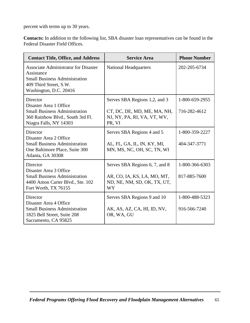percent with terms up to 30 years.

**Contacts:** In addition to the following list, SBA disaster loan representatives can be found in the Federal Disaster Field Offices.

| <b>Contact Title, Office, and Address</b>                                                                                                             | <b>Service Area</b>                                                                                       | <b>Phone Number</b>            |
|-------------------------------------------------------------------------------------------------------------------------------------------------------|-----------------------------------------------------------------------------------------------------------|--------------------------------|
| <b>Associate Administrator for Disaster</b><br>Assistance<br><b>Small Business Administration</b><br>409 Third Street, S.W.<br>Washington, D.C. 20416 | <b>National Headquarters</b>                                                                              | 202-205-6734                   |
| Director<br>Disaster Area 1 Office<br><b>Small Business Administration</b><br>360 Rainbow Blvd., South 3rd Fl.<br>Niagra Falls, NY 14303              | Serves SBA Regions 1,2, and 3<br>CT, DC, DE, MD, ME, MA, NH,<br>NJ, NY, PA, RI, VA, VT, WV,<br>PR, VI     | 1-800-659-2955<br>716-282-4612 |
| Director<br>Disaster Area 2 Office<br><b>Small Business Administration</b><br>One Baltimore Place, Suite 300<br>Atlanta, GA 30308                     | Serves SBA Regions 4 and 5<br>AL, FL, GA, IL, IN, KY, MI,<br>MN, MS, NC, OH, SC, TN, WI                   | 1-800-359-2227<br>404-347-3771 |
| Director<br>Disaster Area 3 Office<br><b>Small Business Administration</b><br>4400 Amon Carter Blvd., Ste. 102<br>Fort Worth, TX 76155                | Serves SBA Regions 6, 7, and 8<br>AR, CO, IA, KS, LA, MO, MT,<br>ND, NE, NM, SD, OK, TX, UT,<br><b>WY</b> | 1-800-366-6303<br>817-885-7600 |
| Director<br>Disaster Area 4 Office<br><b>Small Business Administration</b><br>1825 Bell Street, Suite 208<br>Sacramento, CA 95825                     | Serves SBA Regions 9 and 10<br>AK, AS, AZ, CA, HI, ID, NV,<br>OR, WA, GU                                  | 1-800-488-5323<br>916-566-7240 |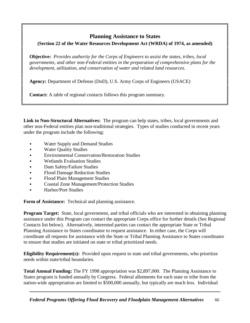### **Planning Assistance to States (Section 22 of the Water Resources Development Act (WRDA) of 1974, as amended)**

**Objective:** *Provides authority for the Corps of Engineers to assist the states, tribes, local governments, and other non-Federal entities in the preparation of comprehensive plans for the development, utilization, and conservation of water and related land resources.*

**Agency:** Department of Defense (DoD), U.S. Army Corps of Engineers (USACE)

**Contact:** A table of regional contacts follows this program summary.

**Link to Non-Structural Alternatives:** The program can help states, tribes, local governments and other non-Federal entities plan non-traditional strategies. Types of studies conducted in recent years under the program include the following:

- Water Supply and Demand Studies
- Water Quality Studies
- Environmental Conservation/Restoration Studies
- Wetlands Evaluation Studies
- Dam Safety/Failure Studies
- Flood Damage Reduction Studies
- Flood Plain Management Studies
- Coastal Zone Management/Protection Studies
- Harbor/Port Studies

**Form of Assistance:** Technical and planning assistance.

**Program Target:** State, local government, and tribal officials who are interested in obtaining planning assistance under this Program can contact the appropriate Corps office for further details (See Regional Contacts list below). Alternatively, interested parties can contact the appropriate State or Tribal Planning Assistance to States coordinator to request assistance. In either case, the Corps will coordinate all requests for assistance with the State or Tribal Planning Assistance to States coordinator to ensure that studies are initiated on state or tribal prioritized needs.

**Eligibility Requirement(s):** Provided upon request to state and tribal governments, who prioritize needs within state/tribal boundaries.

**Total Annual Funding:** The FY 1998 appropriation was \$2,897,000. The Planning Assistance to States program is funded annually by Congress. Federal allotments for each state or tribe from the nation-wide appropriation are limited to \$500,000 annually, but typically are much less. Individual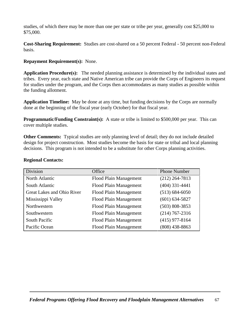studies, of which there may be more than one per state or tribe per year, generally cost \$25,000 to \$75,000.

**Cost-Sharing Requirement:** Studies are cost-shared on a 50 percent Federal - 50 percent non-Federal basis.

#### **Repayment Requirement(s):** None.

**Application Procedure(s):** The needed planning assistance is determined by the individual states and ribes. Every year, each state and Native American tribe can provide the Corps of Engineers its reques for studies under the program, and the Corps then accommodates as many studies as possible within he funding allotment.

**Application Timeline:** May be done at any time, but funding decisions by the Corps are normally done at the beginning of the fiscal year (early October) for that fiscal year.

**Programmatic/Funding Constraint(s):** A state or tribe is limited to \$500,000 per year. This can cover multiple studies.

**Other Comments:** Typical studies are only planning level of detail; they do not include detailed design for project construction. Most studies become the basis for state or tribal and local planning decisions. This program is not intended to be a substitute for other Corps planning activities.

| Division                   | Office                 | <b>Phone Number</b> |
|----------------------------|------------------------|---------------------|
| North Atlantic             | Flood Plain Management | $(212)$ 264-7813    |
| South Atlantic             | Flood Plain Management | $(404)$ 331-4441    |
| Great Lakes and Ohio River | Flood Plain Management | $(513) 684 - 6050$  |
| Mississippi Valley         | Flood Plain Management | $(601) 634 - 5827$  |
| Northwestern               | Flood Plain Management | $(503) 808 - 3853$  |
| Southwestern               | Flood Plain Management | $(214) 767 - 2316$  |
| South Pacific              | Flood Plain Management | $(415)$ 977-8164    |
| Pacific Ocean              | Flood Plain Management | $(808)$ 438-8863    |

#### **Regional Contacts:**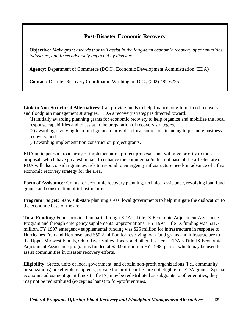### **Post-Disaster Economic Recovery**

**Objective:** *Make grant awards that will assist in the long-term economic recovery of communities, industries, and firms adversely impacted by disasters.*

**Agency:** Department of Commerce (DOC), Economic Development Administration (EDA)

**Contact:** Disaster Recovery Coordinator, Washington D.C., (202) 482-6225

**Link to Non-Structural Alternatives:** Can provide funds to help finance long-term flood recovery and floodplain management strategies. EDA's recovery strategy is directed toward:

- (1) initially awarding planning grants for economic recovery to help organize and mobilize the local response capabilities and to assist in the preparation of recovery strategies,
- (2) awarding revolving loan fund grants to provide a local source of financing to promote business recovery, and
- (3) awarding implementation construction project grants.

EDA anticipates a broad array of implementation project proposals and will give priority to those proposals which have greatest impact to enhance the commercial/industrial base of the affected area. EDA will also consider grant awards to respond to emergency infrastructure needs in advance of a final economic recovery strategy for the area.

Form of Assistance: Grants for economic recovery planning, technical assistance, revolving loan fund grants, and construction of infrastructure.

**Program Target:** State, sub-state planning areas, local governments to help mitigate the dislocation to he economic base of the area.

**Total Funding:** Funds provided, in part, through EDA's Title IX Economic Adjustment Assistance Program and through emergency supplemental appropriations. FY 1997 Title IX funding was \$31.7 million. FY 1997 emergency supplemental funding was \$25 million for infrastructure in response to Hurricanes Fran and Hortense, and \$50.2 million for revolving loan fund grants and infrastructure to the Upper Midwest Floods, Ohio River Valley floods, and other disasters. EDA's Title IX Economic Adjustment Assistance program is funded at \$29.9 million in FY 1998, part of which may be used to assist communities in disaster recovery efforts.

**Eligibility:** States, units of local government, and certain non-profit organizations (i.e., community organizations) are eligible recipients; private for-profit entities are not eligible for EDA grants. Special economic adjustment grant funds (Title IX) may be redistributed as subgrants to other entities; they may not be redistributed (except as loans) to for-profit entities.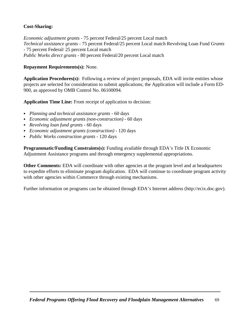#### **Cost-Sharing:**

*Economic adjustment grants* - 75 percent Federal/25 percent Local match *Technical assistance grants* - 75 percent Federal/25 percent Local match Revolving Loan Fund *Grants* - 75 percent Federal/ 25 percent Local match *Public Works direct grants* - 80 percent Federal/20 percent Local match

#### **Repayment Requirements(s):** None.

**Application Procedures(s):** Following a review of project proposals, EDA will invite entities whose projects are selected for consideration to submit applications; the Application will include a Form ED-900, as approved by OMB Control No. 06100094.

**Application Time Line:** From receipt of application to decision:

- C *Planning and technical assistance grants* 60 days
- C *Economic adjustment grants (non-construction)* 60 days
- C *Revolving loan fund grants* 60 days
- C *Economic adjustment grants (construction)* 120 days
- C *Public Works construction grants* 120 days

**Programmatic/Funding Constraints(s):** Funding available through EDA's Title IX Economic Adjustment Assistance programs and through emergency supplemental appropriations.

**Other Comments:** EDA will coordinate with other agencies at the program level and at headquarters to expedite efforts to eliminate program duplication. EDA will continue to coordinate program activity with other agencies within Commerce through existing mechanisms.

Further information on programs can be obtained through EDA's Internet address (http://ecix.doc.gov).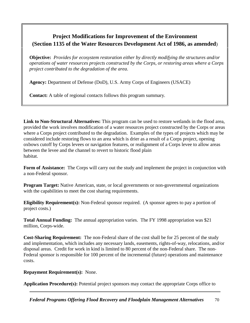### **Project Modifications for Improvement of the Environment (Section 1135 of the Water Resources Development Act of 1986, as amended**)

**Objective:** *Provides for ecosystem restoration either by directly modifying the structures and/or operations of water resources projects constructed by the Corps, or restoring areas where a Corps project contributed to the degradation of the area*.

**Agency:** Department of Defense (DoD), U.S. Army Corps of Engineers (USACE)

**Contact:** A table of regional contacts follows this program summary.

**Link to Non-Structural Alternatives:** This program can be used to restore wetlands in the flood area, provided the work involves modification of a water resources project constructed by the Corps or areas where a Corps project contributed to the degradation. Examples of the types of projects which may be considered include restoring flows to an area which is drier as a result of a Corps project, opening oxbows cutoff by Corps levees or navigation features, or realignment of a Corps levee to allow areas between the levee and the channel to revert to historic flood plain habitat.

**Form of Assistance:** The Corps will carry out the study and implement the project in conjunction with a non-Federal sponsor.

**Program Target:** Native American, state, or local governments or non-governmental organizations with the capabilities to meet the cost sharing requirements.

**Eligibility Requirement(s):** Non-Federal sponsor required. (A sponsor agrees to pay a portion of project costs.)

**Total Annual Funding:** The annual appropriation varies. The FY 1998 appropriation was \$21 million, Corps-wide.

**Cost-Sharing Requirement:** The non-Federal share of the cost shall be for 25 percent of the study and implementation, which includes any necessary lands, easements, rights-of-way, relocations, and/or disposal areas. Credit for work in kind is limited to 80 percent of the non-Federal share. The non-Federal sponsor is responsible for 100 percent of the incremental (future) operations and maintenance costs.

### **Repayment Requirement(s):** None.

**Application Procedure(s):** Potential project sponsors may contact the appropriate Corps office to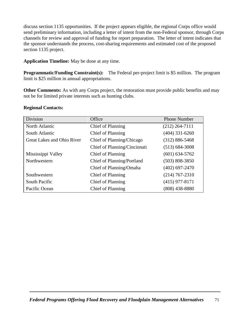discuss section 1135 opportunities. If the project appears eligible, the regional Corps office would send preliminary information, including a letter of intent from the non-Federal sponsor, through Corps channels for review and approval of funding for report preparation. The letter of intent indicates that he sponsor understands the process, cost-sharing requirements and estimated cost of the proposed section 1135 project.

**Application Timeline:** May be done at any time.

**Programmatic/Funding Constraint(s):** The Federal per-project limit is \$5 million. The program imit is \$25 million in annual appropriations.

**Other Comments:** As with any Corps project, the restoration must provide public benefits and may not be for limited private interests such as hunting clubs.

### **Regional Contacts:**

| Division                   | Office                       | <b>Phone Number</b> |
|----------------------------|------------------------------|---------------------|
| North Atlantic             | Chief of Planning            | $(212)$ 264-7111    |
| South Atlantic             | Chief of Planning            | $(404)$ 331-6260    |
| Great Lakes and Ohio River | Chief of Planning/Chicago    | $(312) 886 - 5468$  |
|                            | Chief of Planning/Cincinnati | $(513) 684 - 3008$  |
| Mississippi Valley         | Chief of Planning            | $(601) 634 - 5762$  |
| Northwestern               | Chief of Planning/Portland   | $(503) 808 - 3850$  |
|                            | Chief of Planning/Omaha      | $(402)$ 697-2470    |
| Southwestern               | Chief of Planning            | $(214)$ 767-2310    |
| <b>South Pacific</b>       | Chief of Planning            | $(415)$ 977-8171    |
| Pacific Ocean              | Chief of Planning            | $(808)$ 438-8880    |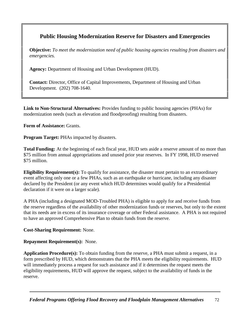### **Public Housing Modernization Reserve for Disasters and Emergencies**

**Objective:** *To meet the modernization need of public housing agencies resulting from disasters and emergencies.*

**Agency:** Department of Housing and Urban Development (HUD).

**Contact:** Director, Office of Capital Improvements, Department of Housing and Urban Development. (202) 708-1640.

**Link to Non-Structural Alternatives:** Provides funding to public housing agencies (PHAs) for modernization needs (such as elevation and floodproofing) resulting from disasters.

**Form of Assistance:** Grants.

**Program Target:** PHAs impacted by disasters.

**Total Funding:** At the beginning of each fiscal year, HUD sets aside a reserve amount of no more than \$75 million from annual appropriations and unused prior year reserves. In FY 1998, HUD reserved \$75 million.

**Eligibility Requirement(s):** To qualify for assistance, the disaster must pertain to an extraordinary event affecting only one or a few PHAs, such as an earthquake or hurricane, including any disaster declared by the President (or any event which HUD determines would qualify for a Presidential declaration if it were on a larger scale).

A PHA (including a designated MOD-Troubled PHA) is eligible to apply for and receive funds from the reserve regardless of the availability of other modernization funds or reserves, but only to the extent hat its needs are in excess of its insurance coverage or other Federal assistance. A PHA is not require o have an approved Comprehensive Plan to obtain funds from the reserve.

**Cost-Sharing Requirement:** None.

**Repayment Requirement(s):** None.

**Application Procedure(s):** To obtain funding from the reserve, a PHA must submit a request, in a form prescribed by HUD, which demonstrates that the PHA meets the eligibility requirements. HUD will immediately process a request for such assistance and if it determines the request meets the eligibility requirements, HUD will approve the request, subject to the availability of funds in the reserve.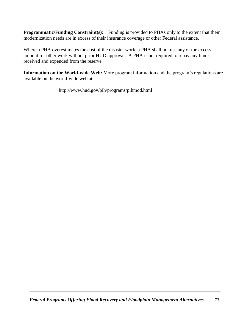**Programmatic/Funding Constraint(s):** Funding is provided to PHAs only to the extent that their modernization needs are in excess of their insurance coverage or other Federal assistance.

Where a PHA overestimates the cost of the disaster work, a PHA shall not use any of the excess amount for other work without prior HUD approval. A PHA is not required to repay any funds received and expended from the reserve.

**Information on the World-wide Web:** More program information and the program's regulations are available on the world-wide web at:

http://www.hud.gov/pih/programs/pihmod.html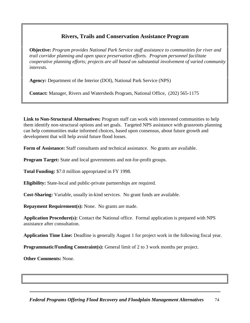### **Rivers, Trails and Conservation Assistance Program**

**Objective:** *Program provides National Park Service staff assistance to communities for river and trail corridor planning and open space preservation efforts. Program personnel facilitate cooperative planning efforts; projects are all based on substantial involvement of varied communit interests.*

**Agency:** Department of the Interior (DOI), National Park Service (NPS)

**Contact:** Manager, Rivers and Watersheds Program, National Office, (202) 565-1175

**Link to Non-Structural Alternatives:** Program staff can work with interested communities to help hem identify non-structural options and set goals. Targeted NPS assistance with grassroots planning can help communities make informed choices, based upon consensus, about future growth and development that will help avoid future flood losses.

**Form of Assistance:** Staff consultants and technical assistance. No grants are available.

**Program Target:** State and local governments and not-for-profit groups.

**Total Funding:** \$7.0 million appropriated in FY 1998.

**Eligibility:** State-local and public-private partnerships are required.

**Cost-Sharing:** Variable, usually in-kind services. No grant funds are available.

**Repayment Requirement(s):** None. No grants are made.

**Application Procedure(s):** Contact the National office. Formal application is prepared with NPS assistance after consultation.

**Application Time Line:** Deadline is generally August 1 for project work in the following fiscal year.

**Programmatic/Funding Constraint(s):** General limit of 2 to 3 work months per project.

**Other Comments:** None.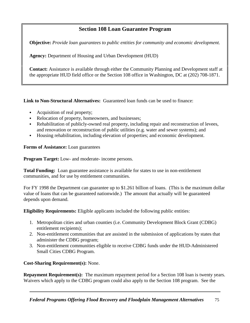### **Section 108 Loan Guarantee Program**

**Objective:** *Provide loan guarantees to public entities for community and economic development.*

**Agency:** Department of Housing and Urban Development (HUD)

**Contact:** Assistance is available through either the Community Planning and Development staff at the appropriate HUD field office or the Section 108 office in Washington, DC at (202) 708-1871.

**Link to Non-Structural Alternatives:** Guaranteed loan funds can be used to finance:

- Acquisition of real property;
- Relocation of property, homeowners, and businesses;
- Rehabilitation of publicly-owned real property, including repair and reconstruction of levees, and renovation or reconstruction of public utilities (e.g. water and sewer systems); and
- Housing rehabilitation, including elevation of properties; and economic development.

**Forms of Assistance:** Loan guarantees

**Program Target:** Low- and moderate- income persons.

**Total Funding:** Loan guarantee assistance is available for states to use in non-entitlement communities, and for use by entitlement communities.

For FY 1998 the Department can guarantee up to \$1.261 billion of loans. (This is the maximum dollar value of loans that can be guaranteed nationwide.) The amount that actually will be guaranteed depends upon demand.

**Eligibility Requirements:** Eligible applicants included the following public entities:

- 1. Metropolitan cities and urban counties (i.e. Community Development Block Grant (CDBG) entitlement recipients);
- 2. Non-entitlement communities that are assisted in the submission of applications by states that administer the CDBG program;
- 3. Non-entitlement communities eligible to receive CDBG funds under the HUD-Administered Small Cities CDBG Program.

**Cost-Sharing Requirement(s):** None.

**Repayment Requirement(s):** The maximum repayment period for a Section 108 loan is twenty years. Waivers which apply to the CDBG program could also apply to the Section 108 program. See the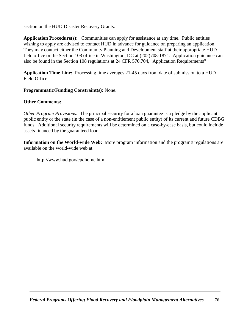section on the HUD Disaster Recovery Grants.

**Application Procedure(s):** Communities can apply for assistance at any time. Public entities wishing to apply are advised to contact HUD in advance for guidance on preparing an application. They may contact either the Community Planning and Development staff at their appropriate HUD field office or the Section 108 office in Washington, DC at (202)708-1871. Application guidance can also be found in the Section 108 regulations at 24 CFR 570.704, "Application Requirements"

**Application Time Line:** Processing time averages 21-45 days from date of submission to a HUD Field Office.

### **Programmatic/Funding Constraint(s):** None.

### **Other Comments:**

*Other Program Provisions:* The principal security for a loan guarantee is a pledge by the applicant public entity or the state (in the case of a non-entitlement public entity) of its current and future CDBG funds. Additional security requirements will be determined on a case-by-case basis, but could include assets financed by the guaranteed loan.

**Information on the World-wide Web:** More program information and the program's regulations are available on the world-wide web at:

http://www.hud.gov/cpdhome.html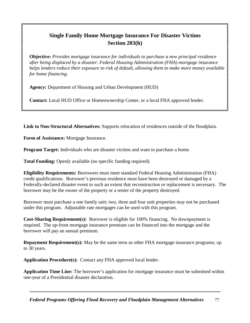### **Single Family Home Mortgage Insurance For Disaster Victims Section 203(h)**

**Objective:** *Provides mortgage insurance for individuals to purchase a new principal residence after being displaced by a disaster. Federal Housing Administration (FHA) mortgage insurance helps lenders reduce their exposure to risk of default, allowing them to make more money available for home financing.*

**Agency:** Department of Housing and Urban Development (HUD)

**Contact:** Local HUD Office or Homeownership Center, or a local FHA approved lender.

**Link to Non-Structural Alternatives:** Supports relocation of residences outside of the floodplain.

**Form of Assistance:** Mortgage Insurance.

**Program Target:** Individuals who are disaster victims and want to purchase a home.

**Total Funding:** Openly available (no specific funding required).

**Eligibility Requirements:** Borrowers must meet standard Federal Housing Administration (FHA) credit qualifications. Borrower's previous residence must have been destroyed or damaged by a Federally-declared disaster event to such an extent that reconstruction or replacement is necessary. The borrower may be the owner of the property or a renter of the property destroyed.

Borrower must purchase a one family unit; two, three and four unit properties may not be purchased under this program. Adjustable rate mortgages can be used with this program.

**Cost-Sharing Requirement(s):** Borrower is eligible for 100% financing. No downpayment is required. The up-front mortgage insurance premium can be financed into the mortgage and the borrower will pay an annual premium.

**Repayment Requirement(s):** May be the same term as other FHA mortgage insurance programs; up o 30 years.

**Application Procedure(s):** Contact any FHA approved local lender.

**Application Time Line:** The borrower's application for mortgage insurance must be submitted within one-year of a Presidential disaster declaration.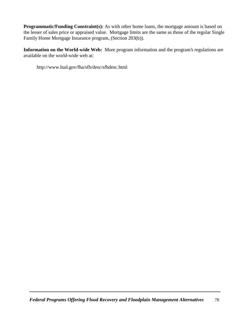**Programmatic/Funding Constraint(s):** As with other home loans, the mortgage amount is based on the lesser of sales price or appraised value. Mortgage limits are the same as those of the regular Single Family Home Mortgage Insurance program, (Section 203(b)).

**Information on the World-wide Web:** More program information and the program's regulations are available on the world-wide web at:

http://www.hud.gov/fha/sfh/desc/sfhdesc.html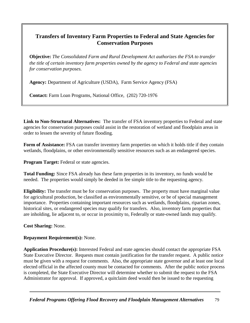### **Transfers of Inventory Farm Properties to Federal and State Agencies for Conservation Purposes**

**Objective:** *The Consolidated Farm and Rural Development Act authorizes the FSA to transfer the title of certain inventory farm properties owned by the agency to Federal and state agencies for conservation purposes.*

**Agency:** Department of Agriculture (USDA), Farm Service Agency (FSA)

**Contact:** Farm Loan Programs, National Office, (202) 720-1976

**Link to Non-Structural Alternatives:** The transfer of FSA inventory properties to Federal and state agencies for conservation purposes could assist in the restoration of wetland and floodplain areas in order to lessen the severity of future flooding.

**Form of Assistance:** FSA can transfer inventory farm properties on which it holds title if they contain wetlands, floodplains, or other environmentally sensitive resources such as an endangered species.

**Program Target:** Federal or state agencies.

**Total Funding:** Since FSA already has these farm properties in its inventory, no funds would be needed. The properties would simply be deeded in fee simple title to the requesting agency.

**Eligibility:** The transfer must be for conservation purposes. The property must have marginal value for agricultural production, be classified as environmentally sensitive, or be of special management mportance. Properties containing important resources such as wetlands, floodplains, riparian zones, historical sites, or endangered species may qualify for transfers. Also, inventory farm properties that are inholding, lie adjacent to, or occur in proximity to, Federally or state-owned lands may qualify.

**Cost Sharing:** None.

### **Repayment Requirement(s):** None.

**Application Procedure(s):** Interested Federal and state agencies should contact the appropriate FSA State Executive Director. Requests must contain justification for the transfer request. A public notice must be given with a request for comments. Also, the appropriate state governor and at least one local elected official in the affected county must be contacted for comments. After the public notice process is completed, the State Executive Director will determine whether to submit the request to the FSA Administrator for approval. If approved, a quitclaim deed would then be issued to the requesting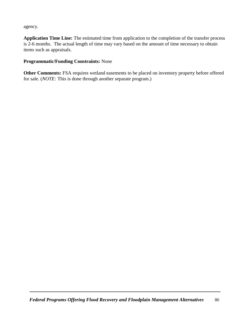agency.

**Application Time Line:** The estimated time from application to the completion of the transfer process is 2-6 months. The actual length of time may vary based on the amount of time necessary to obtain tems such as appraisals.

### **Programmatic/Funding Constraints:** None

**Other Comments:** FSA requires wetland easements to be placed on inventory property before offered for sale. (*NOTE:* This is done through another separate program.)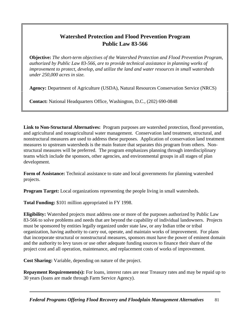### **Watershed Protection and Flood Prevention Program Public Law 83-566**

**Objective:** *The short-term objectives of the Watershed Protection and Flood Prevention Program, authorized by Public Law 83-566, are to provide technical assistance in planning works of improvement to protect, develop, and utilize the land and water resources in small watersheds under 250,000 acres in size.*

**Agency:** Department of Agriculture (USDA), Natural Resources Conservation Service (NRCS)

**Contact:** National Headquarters Office, Washington, D.C., (202) 690-0848

**Link to Non-Structural Alternatives:** Program purposes are watershed protection, flood prevention, and agricultural and nonagricultural water management. Conservation land treatment, structural, and nonstructural measures are used to address these purposes. Application of conservation land treatment measures to upstream watersheds is the main feature that separates this program from others. Nonstructural measures will be preferred. The program emphasizes planning through interdisciplinary eams which include the sponsors, other agencies, and environmental groups in all stages of plan development.

**Form of Assistance:** Technical assistance to state and local governments for planning watershed projects.

**Program Target:** Local organizations representing the people living in small watersheds.

**Total Funding:** \$101 million appropriated in FY 1998.

**Eligibility:** Watershed projects must address one or more of the purposes authorized by Public Law 83-566 to solve problems and needs that are beyond the capability of individual landowners. Projects must be sponsored by entities legally organized under state law, or any Indian tribe or tribal organization, having authority to carry out, operate, and maintain works of improvement. For plans hat incorporate structural or nonstructural measures, sponsors must have the power of eminent domain and the authority to levy taxes or use other adequate funding sources to finance their share of the project cost and all operation, maintenance, and replacement costs of works of improvement.

**Cost Sharing:** Variable, depending on nature of the project.

**Repayment Requirements(s):** For loans, interest rates are near Treasury rates and may be repaid up to 30 years (loans are made through Farm Service Agency).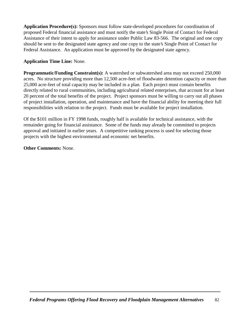**Application Procedure(s):** Sponsors must follow state-developed procedures for coordination of proposed Federal financial assistance and must notify the state's Single Point of Contact for Federal Assistance of their intent to apply for assistance under Public Law 83-566. The original and one copy should be sent to the designated state agency and one copy to the state's Single Point of Contact for Federal Assistance. An application must be approved by the designated state agency.

### **Application Time Line:** None.

**Programmatic/Funding Constraint(s):** A watershed or subwatershed area may not exceed 250,000 acres. No structure providing more than 12,500 acre-feet of floodwater detention capacity or more than 25,000 acre-feet of total capacity may be included in a plan. Each project must contain benefits directly related to rural communities, including agricultural related enterprises, that account for at least 20 percent of the total benefits of the project. Project sponsors must be willing to carry out all phases of project installation, operation, and maintenance and have the financial ability for meeting their full responsibilities with relation to the project. Funds must be available for project installation.

Of the \$101 million in FY 1998 funds, roughly half is available for technical assistance, with the remainder going for financial assistance. Some of the funds may already be committed to projects approval and initiated in earlier years. A competitive ranking process is used for selecting those projects with the highest environmental and economic net benefits.

**Other Comments:** None.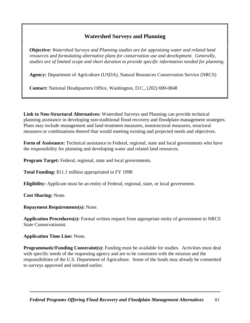### **Watershed Surveys and Planning**

**Objective:** *Watershed Surveys and Planning studies are for appraising water and related land resources and formulating alternative plans for conservation use and development. Generally, studies are of limited scope and short duration to provide specific information needed for planning.*

**Agency:** Department of Agriculture (USDA), Natural Resources Conservation Service (NRCS)

**Contact:** National Headquarters Office, Washington, D.C., (202) 690-0848

**Link to Non-Structural Alternatives:** Watershed Surveys and Planning can provide technical planning assistance in developing non-traditional flood recovery and floodplain management strategies. Plans may include management and land treatment measures, nonstructural measures, structural measures or combinations thereof that would meeting existing and projected needs and objectives.

**Form of Assistance:** Technical assistance to Federal, regional, state and local governments who have the responsibility for planning and developing water and related land resources.

**Program Target:** Federal, regional, state and local governments.

**Total Funding:** \$11.1 million appropriated in FY 1998

**Eligibility:** Applicant must be an entity of Federal, regional, state, or local government.

**Cost Sharing:** None.

**Repayment Requirements(s):** None.

**Application Procedures(s):** Formal written request from appropriate entity of government to NRCS State Conservationist.

**Application Time Line:** None.

Programmatic/Funding Constraint(s): Funding must be available for studies. Activities must deal with specific needs of the requesting agency and are to be consistent with the mission and the responsibilities of the U.S. Department of Agriculture. Some of the funds may already be committed o surveys approved and initiated earlier.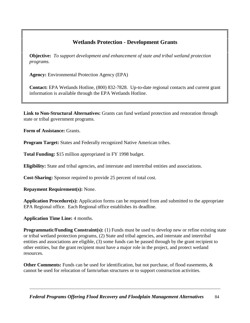### **Wetlands Protection - Development Grants**

**Objective:** *To support development and enhancement of state and tribal wetland protection programs.*

**Agency:** Environmental Protection Agency (EPA)

**Contact:** EPA Wetlands Hotline, (800) 832-7828. Up-to-date regional contacts and current grant information is available through the EPA Wetlands Hotline.

**Link to Non-Structural Alternatives:** Grants can fund wetland protection and restoration through state or tribal government programs.

**Form of Assistance:** Grants.

**Program Target:** States and Federally recognized Native American tribes.

**Total Funding:** \$15 million appropriated in FY 1998 budget.

**Eligibility:** State and tribal agencies, and interstate and intertribal entities and associations.

**Cost-Sharing:** Sponsor required to provide 25 percent of total cost.

**Repayment Requirement(s):** None.

**Application Procedure(s):** Application forms can be requested from and submitted to the appropriate EPA Regional office. Each Regional office establishes its deadline.

**Application Time Line:** 4 months.

**Programmatic/Funding Constraint(s):** (1) Funds must be used to develop new or refine existing state or tribal wetland protection programs, (2) State and tribal agencies, and interstate and intertribal entities and associations are eligible, (3) some funds can be passed through by the grant recipient to other entities, but the grant recipient must have a major role in the project, and protect wetland resources.

**Other Comments:** Funds can be used for identification, but not purchase, of flood easements, & cannot be used for relocation of farm/urban structures or to support construction activities.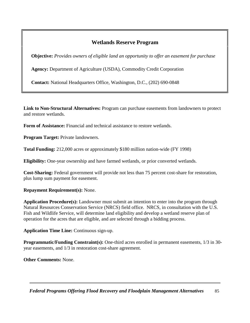### **Wetlands Reserve Program**

**Objective:** *Provides owners of eligible land an opportunity to offer an easement for purchase* 

**Agency:** Department of Agriculture (USDA), Commodity Credit Corporation

**Contact:** National Headquarters Office, Washington, D.C., (202) 690-0848

**Link to Non-Structural Alternatives:** Program can purchase easements from landowners to protect and restore wetlands.

**Form of Assistance:** Financial and technical assistance to restore wetlands.

**Program Target:** Private landowners.

**Total Funding:** 212,000 acres or approximately \$180 million nation-wide (FY 1998)

**Eligibility:** One-year ownership and have farmed wetlands, or prior converted wetlands.

**Cost-Sharing:** Federal government will provide not less than 75 percent cost-share for restoration, plus lump sum payment for easement.

### **Repayment Requirement(s):** None.

**Application Procedure(s):** Landowner must submit an intention to enter into the program through Natural Resources Conservation Service (NRCS) field office. NRCS, in consultation with the U.S. Fish and Wildlife Service, will determine land eligibility and develop a wetland reserve plan of operation for the acres that are eligible, and are selected through a bidding process.

**Application Time Line:** Continuous sign-up.

**Programmatic/Funding Constraint(s):** One-third acres enrolled in permanent easements, 1/3 in 30 year easements, and 1/3 in restoration cost-share agreement.

**Other Comments:** None.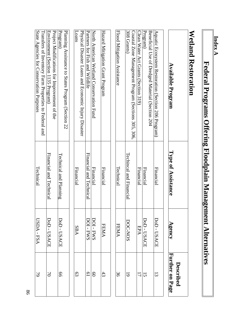| Index A                                                                                           |                         |                   |                              |
|---------------------------------------------------------------------------------------------------|-------------------------|-------------------|------------------------------|
| Federal Programs Offering Floodplain Managen                                                      |                         | nent Alternatives |                              |
| Wetland Restoration                                                                               |                         |                   |                              |
| <b>Available Program</b>                                                                          | Type of Assistance      | Agency            | Further on Page<br>Described |
| Aquatic Ecosystem Restoration (Section 206 Program)                                               | Financial               | DoD - USACE       | $\overline{3}$               |
| Program)<br>Beneficial Use of Dredged Material (Section 204                                       | Financial               | DoD - USACE       | 15                           |
| Clean Water Act Grants (Section 319)                                                              | Financial               | EPA               | 17                           |
| 308 Grants)<br>Coastal Zone Management Program (Sections 305, 306,                                | Techincal and Financial | DOC-NOS           | $\overline{6}$               |
| Flood Mitigation Assistance                                                                       | Technical               | <b>FEMA</b>       | 36                           |
| Hazard Mitigation Grant Program                                                                   | Financial               | <b>FEMA</b>       | $43\,$                       |
| North American Wetland Conservation Fund                                                          | Financial               | <b>DOI - FWS</b>  | $\mathbf{S}$                 |
| Physical Disaster Loans and Economic Injury Disaster<br>Partners for Fish and Wildlife            | Financial and Technical | <b>DOI-FWS</b>    | 61                           |
| SUBOT                                                                                             | Financial               | <b>SBA</b>        | 63                           |
| Planning Assistance to States Program (Section 22<br>${\rm Program}$                              | Technical and Planning  | DoD - USACE       | 99                           |
| Project Modifications for Improvement of the<br>Environment (Section 1135 Program)                | Financial and Technical | DoD - USACE       | $\Omega$                     |
| State Agencies for Conservation Purposes<br>Transfers of Inventory Farm Properties to Federal and | Technical               | USDA - FSA        | $\mathcal{P}$                |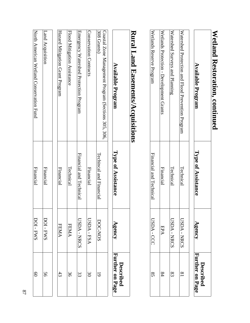## **Wetland Restoration, continued Wetland Restoration, continued**

| <b>Number of Protection and Hillor Dressention Dromans</b> | <b>Available Program</b>    |
|------------------------------------------------------------|-----------------------------|
| Technical                                                  | Type of Assistance          |
| <b>IISDA - NRCS</b>                                        | Agency                      |
| $\overline{\mathbf{x}}$                                    | urther on Page<br>Described |

|  | Financial<br>EPA | Technical<br>USDA - NRCS | Technical<br>USDA - NRCS |  |  |  | Wetlands Protion - Development Grants<br>Watershed Surveys and Planning<br>Watershed Protection and Flood Prevention Program |
|--|------------------|--------------------------|--------------------------|--|--|--|------------------------------------------------------------------------------------------------------------------------------|
|--|------------------|--------------------------|--------------------------|--|--|--|------------------------------------------------------------------------------------------------------------------------------|

# **Rural Land Easements/Acquisitions Rural Land Easements/Acquisitions**

| <b>Available Program</b>                                          | Type of Assistance      | Agency      | Further on Page<br><b>Described</b> |
|-------------------------------------------------------------------|-------------------------|-------------|-------------------------------------|
| Coastal Zone Management Program (Sections 305, 306<br>308 Grants) | Techincal and Financial | DOC-NOS     | $\overline{\cdot}$                  |
| Conservation Contracts                                            | Financial               | USDA - FSA  | $\approx$                           |
| Emergency Watershed Protion Program                               | Financial and Technical | USDA - NRCS | င္ဟ                                 |
| Flood Mitigation Assistance                                       | Technical               | <b>FEMA</b> | $\approx$                           |
| Hazard Mitigation Grant Program                                   | Financial               | FEMAA       | 43                                  |
| Land Acquisition                                                  | Financial               | DOI-FWS     | 99                                  |
|                                                                   |                         |             |                                     |

North American Wetland Conservation Fund

North American Wetland Conservation Fund

Financial

**Financial** 

DOI - FWS

DOI-FWS

60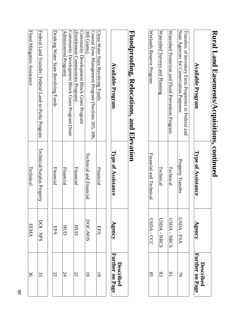### **Rural Land Easements/Acquisitions, continued Rural Land Easements/Acquisitions, continued Available Program Type of Assistance Agency D escribed**

| <b>Available Program</b>                              | Type of Assistance      | Agency      | Further on Page |
|-------------------------------------------------------|-------------------------|-------------|-----------------|
| Transfers of Inventory Farm Properties to Federal and |                         |             |                 |
| State Agencies for Conservation Purposes              | Property Transfer       | USDA - FSA  |                 |
| Watershed protection and Hlood prevention program     | Technical               | USDA - NRCS |                 |
| Watershed Surveys and Planning                        | Technical               | USDA - NRCS |                 |
| Wetlands Reserve Program                              | Financial and Technical | USDA - CCC  |                 |
|                                                       |                         |             |                 |

### Floodproofing, Relocations, and Elevation **Floodproofing, Rel ocations, and Elevation**

| <b>Available Program</b>                             | Type of Assistance         | Agency  | Further on Page<br><b>Described</b> |
|------------------------------------------------------|----------------------------|---------|-------------------------------------|
| Clean Water State Revolving Funds                    | Financial                  | EPA     | $\overline{8}$                      |
| Coastal Zone Management Program (Sections 305, 306,  |                            |         |                                     |
| 308 Grants)                                          | Techincal and Financial    | DOC-NOS | $\overline{6}$                      |
| Community Development Block Grant Program            |                            |         |                                     |
| (Entilement Communities Program)                     | Financial                  | HUD     | 22                                  |
| Community Development Block Grant Program (State     |                            |         |                                     |
| Administered Program)                                | Financial                  | HUD     | 24                                  |
| Drinking Water State Revolving Funds                 | Financial                  | EPA     | 32                                  |
|                                                      |                            |         |                                     |
| Federal Land Transfer; Federal Land-to-Parks Program | Technical/Surplus Property | DOI-NPS | 3S                                  |

Flood Mitigation Assistance

Flood Mitigation Assistance

Technical

Technical

**FEMA** 

 $\frac{36}{3}$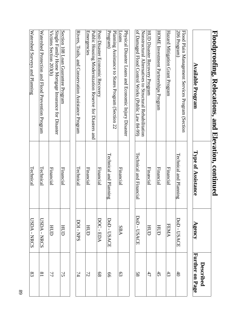| Floodproofing, Relocations, and Elevation, continued                                                         |                         |                |                              |
|--------------------------------------------------------------------------------------------------------------|-------------------------|----------------|------------------------------|
| <b>Available Program</b>                                                                                     | Type of Assistance      | ${\bf Agency}$ | Further on Page<br>Described |
| 206 Program)<br>Flood Plain Management Services Program (Section                                             | Technical and Planning  | DoD - USACE    | $40\,$                       |
| Hazard Mitigation Grant Program                                                                              | Financial               | <b>FEMA</b>    | $43\,$                       |
| HOME Investment Partnerships Program                                                                         | Financial               | HUD            | $45\,$                       |
| HUD Disaster Recovery Program                                                                                | Financial               | HUD            | 47                           |
| of Damaged Flood Control Works (Public Law 84-99)<br>Nonstructural Alternatives to Structural Rehabilitation | Technical and Financial | DoD - USACE    | 58                           |
| Physical Disaster Loans and Economic Injury Disaster<br>Loans                                                | Financial               | SBA            | 63                           |
| Planning Assistance to States Program (Section 22<br>${\rm Program}$                                         | Technical and Planning  | DoD - USACE    | 99                           |
| Post-Disaster Ecomic Recovery                                                                                | Financial               | DOC-EDA        | 89                           |
| Public Housing Modernization Reserve for Diasters and<br><b>Emergencies</b>                                  | Financial               | HUD            | 72                           |
| Rivers, Trails, and Conservation Assistance Program                                                          | Technical               | DOI - NPS      | 74                           |
| Section 108 Loan Guarantee Program                                                                           | Financial               | HUD            | 75                           |
| Single Family Home Mortgage Insurance for Disaster<br>Victims Section 203(h)                                 | Financial               | <b>HUD</b>     | 77                           |
| Watershed Protection and Flood Prevention Program                                                            | Technical               | USDA - NRCS    | $\sqrt{8}$                   |

Watershed Surveys and Planning

Watershed Surveys and Planning

Technical

Technical

USDA - NRCS

USDA - NRCS

 $|\mathfrak{z}|$